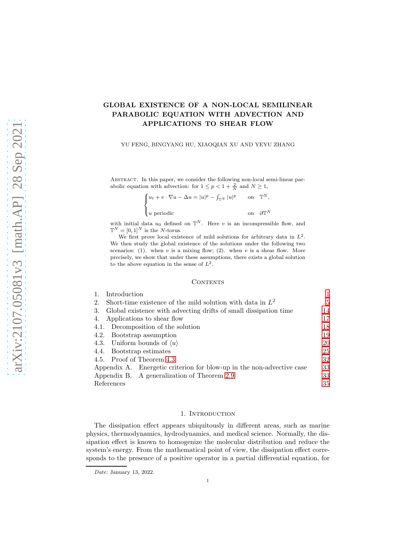# GLOBAL EXISTENCE OF A NON-LOCAL SEMILINEAR PARABOLIC EQUATION WITH ADVECTION AND APPLICATIONS TO SHEAR FLOW

## YU FENG, BINGYANG HU, XIAOQIAN XU AND YEYU ZHANG

Abstract. In this paper, we consider the following non-local semi-linear parabolic equation with advection: for  $1 \le p < 1 + \frac{2}{N}$  and  $N \ge 1$ ,

$$
\begin{cases} u_t + v \cdot \nabla u - \Delta u = |u|^p - \int_{\mathbb{T}^N} |u|^p & \text{on } \mathbb{T}^N, \\ u \text{ periodic} & \text{on } \partial \mathbb{T}^N \end{cases}
$$

with initial data  $u_0$  defined on  $\mathbb{T}^N$ . Here v is an incompressible flow, and  $\mathbb{T}^N = [0, 1]^N$  is the N-torus.

We first prove local existence of mild solutions for arbitrary data in  $L^2$ . We then study the global existence of the solutions under the following two scenarios: (1). when  $v$  is a mixing flow; (2). when  $v$  is a shear flow. More precisely, we show that under these assumptions, there exists a global solution to the above equation in the sense of  $L^2$ .

#### **CONTENTS**

| Introduction                                                           |    |
|------------------------------------------------------------------------|----|
| Short-time existence of the mild solution with data in $L^2$<br>2.     | 5  |
| Global existence with advecting drifts of small dissipation time<br>3. | 14 |
| Applications to shear flow<br>4.                                       | 17 |
| 4.1. Decomposition of the solution                                     | 18 |
| 4.2. Bootstrap assumption                                              | 19 |
| 4.3. Uniform bounds of $\langle u \rangle$                             | 20 |
| 4.4. Bootstrap estimates                                               | 25 |
| 4.5. Proof of Theorem 4.3                                              | 32 |
| Appendix A. Energetic criterion for blow-up in the non-advective case  | 33 |
| Appendix B. A generalization of Theorem 2.9                            | 33 |
| References                                                             | 35 |

## 1. INTRODUCTION

<span id="page-0-0"></span>The dissipation effect appears ubiquitously in different areas, such as marine physics, thermodynamics, hydrodynamics, and medical science. Normally, the dissipation effect is known to homogenize the molecular distribution and reduce the system's energy. From the mathematical point of view, the dissipation effect corresponds to the presence of a positive operator in a partial differential equation, for

Date: January 13, 2022.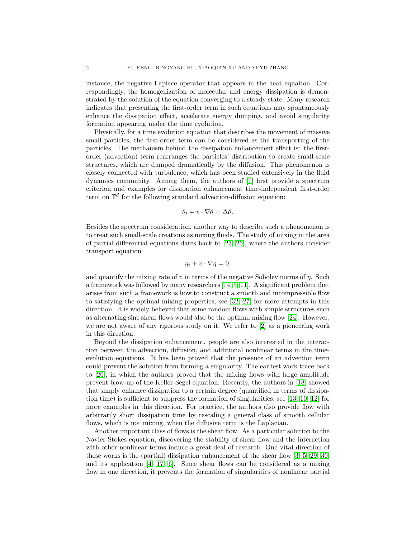instance, the negative Laplace operator that appears in the heat equation. Correspondingly, the homogenization of molecular and energy dissipation is demonstrated by the solution of the equation converging to a steady state. Many research indicates that presenting the first-order term in such equations may spontaneously enhance the dissipation effect, accelerate energy dumping, and avoid singularity formation appearing under the time evolution.

Physically, for a time evolution equation that describes the movement of massive small particles, the first-order term can be considered as the transporting of the particles. The mechanism behind the dissipation enhancement effect is: the firstorder (advection) term rearranges the particles' distribution to create small-scale structures, which are dumped dramatically by the diffusion. This phenomenon is closely connected with turbulence, which has been studied extensively in the fluid dynamics community. Among them, the authors of [\[7\]](#page-34-1) first provide a spectrum criterion and examples for dissipation enhancement time-independent first-order term on  $\mathbb{T}^d$  for the following standard advection-diffusion equation:

$$
\theta_t + v \cdot \nabla \theta = \Delta \theta.
$$

Besides the spectrum consideration, another way to describe such a phenomenon is to treat such small-scale creations as mixing fluids. The study of mixing in the area of partial differential equations dates back to [\[23,](#page-34-2) [26\]](#page-35-0), where the authors consider transport equation

$$
\eta_t + v \cdot \nabla \eta = 0,
$$

and quantify the mixing rate of v in terms of the negative Sobolev norms of  $\eta$ . Such a framework was followed by many researchers [\[14,](#page-34-3) [5,](#page-34-4) [11\]](#page-34-5). A significant problem that arises from such a framework is how to construct a smooth and incompressible flow to satisfying the optimal mixing properties, see [\[32,](#page-35-1) [27\]](#page-35-2) for more attempts in this direction. It is widely believed that some random flows with simple structures such as alternating sine shear flows would also be the optimal mixing flow [\[24\]](#page-34-6). However, we are not aware of any rigorous study on it. We refer to [\[2\]](#page-34-7) as a pioneering work in this direction.

Beyond the dissipation enhancement, people are also interested in the interaction between the advection, diffusion, and additional nonlinear terms in the timeevolution equations. It has been proved that the presence of an advection term could prevent the solution from forming a singularity. The earliest work trace back to [\[20\]](#page-34-8), in which the authors proved that the mixing flows with large amplitude prevent blow-up of the Keller-Segel equation. Recently, the authors in [\[18\]](#page-34-9) showed that simply enhance dissipation to a certain degree (quantified in terms of dissipation time) is sufficient to suppress the formation of singularities, see [\[13,](#page-34-10) [10,](#page-34-11) [12\]](#page-34-12) for more examples in this direction. For practice, the authors also provide flow with arbitrarily short dissipation time by rescaling a general class of smooth cellular flows, which is not mixing, when the diffusive term is the Laplacian.

Another important class of flows is the shear flow. As a particular solution to the Navier-Stokes equation, discovering the stability of shear flow and the interaction with other nonlinear terms induce a great deal of research. One vital direction of these works is the (partial) dissipation enhancement of the shear flow [\[3,](#page-34-13) [5,](#page-34-4) [29,](#page-35-3) [30\]](#page-35-4) and its application  $[4, 17, 6]$  $[4, 17, 6]$  $[4, 17, 6]$ . Since shear flows can be considered as a mixing flow in one direction, it prevents the formation of singularities of nonlinear partial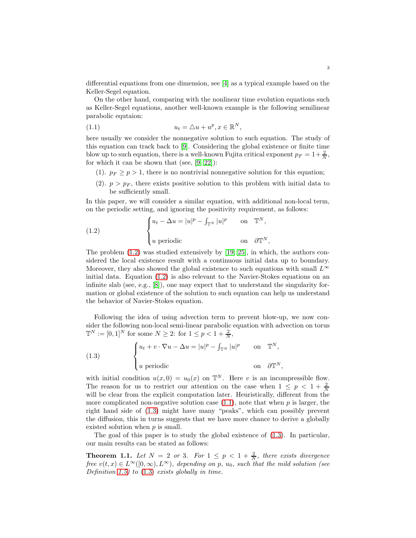differential equations from one dimension, see [\[4\]](#page-34-14) as a typical example based on the Keller-Segel equation.

On the other hand, comparing with the nonlinear time evolution equations such as Keller-Segel equations, another well-known example is the following semilinear parabolic equtaion:

<span id="page-2-1"></span>
$$
(1.1) \t\t u_t = \triangle u + u^p, x \in \mathbb{R}^N,
$$

here usually we consider the nonnegative solution to such equation. The study of this equation can track back to [\[9\]](#page-34-17). Considering the global existence or finite time blow up to such equation, there is a well-known Fujita critical exponent  $p_F = 1 + \frac{2}{N}$ , for which it can be shown that (see,  $[9, 22]$  $[9, 22]$ ):

- (1).  $p_F \ge p > 1$ , there is no nontrivial nonnegative solution for this equation;
- (2).  $p > p<sub>F</sub>$ , there exists positive solution to this problem with initial data to be sufficiently small.

In this paper, we will consider a similar equation, with additional non-local term, on the periodic setting, and ignoring the positivity requirement, as follows:

<span id="page-2-0"></span>(1.2) 
$$
\begin{cases} u_t - \Delta u = |u|^p - \int_{\mathbb{T}^N} |u|^p & \text{on } \mathbb{T}^N, \\ u \text{ periodic} & \text{on } \partial \mathbb{T}^N, \end{cases}
$$

The problem  $(1.2)$  was studied extensively by [\[19,](#page-34-19) [25\]](#page-35-5), in which, the authors considered the local existence result with a continuous initial data up to boundary. Moreover, they also showed the global existence to such equations with small  $L^{\infty}$ initial data. Equation [\(1.2\)](#page-2-0) is also relevant to the Navier-Stokes equations on an infinite slab (see, e.g.,  $[8]$ ), one may expect that to understand the singularity formation or global existence of the solution to such equation can help us understand the behavior of Navier-Stokes equation.

Following the idea of using advection term to prevent blow-up, we now consider the following non-local semi-linear parabolic equation with advection on torus  $\mathbb{T}^N := [0,1]^N$  for some  $N \ge 2$ : for  $1 \le p < 1 + \frac{2}{N}$ ,

<span id="page-2-2"></span>(1.3) 
$$
\begin{cases} u_t + v \cdot \nabla u - \Delta u = |u|^p - \int_{\mathbb{T}^N} |u|^p & \text{on } \mathbb{T}^N, \\ u \text{ periodic} & \text{on } \partial \mathbb{T}^N, \end{cases}
$$

with initial condition  $u(x, 0) = u_0(x)$  on  $\mathbb{T}^N$ . Here v is an incompressible flow. The reason for us to restrict our attention on the case when  $1 \leq p \leq 1 + \frac{2}{N}$ will be clear from the explicit computation later. Heuristically, different from the more complicated non-negative solution case  $(1.1)$ , note that when p is larger, the right hand side of [\(1.3\)](#page-2-2) might have many "peaks", which can possibly prevent the diffusion, this in turns suggests that we have more chance to derive a globally existed solution when p is small.

The goal of this paper is to study the global existence of [\(1.3\)](#page-2-2). In particular, our main results can be stated as follows:

<span id="page-2-3"></span>**Theorem 1.1.** Let  $N = 2$  or 3. For  $1 \leq p < 1 + \frac{2}{N}$ , there exists divergence free  $v(t, x) \in L^{\infty}([0, \infty), L^{\infty})$ , depending on p,  $u_0$ , such that the mild solution (see Definition [1.5\)](#page-4-1) to  $(1.3)$  exists globally in time.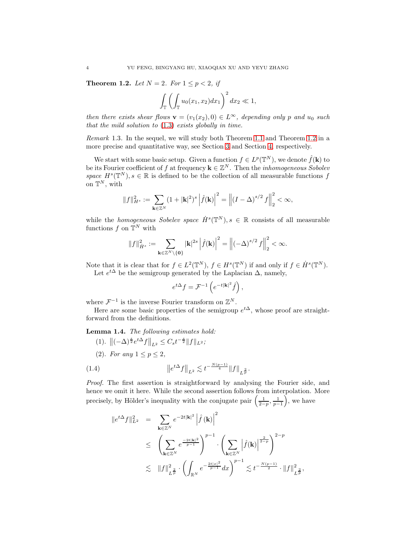<span id="page-3-0"></span>Theorem 1.2. Let  $N = 2$ . For  $1 \le p < 2$ , if

$$
\int_{\mathbb{T}} \left( \int_{\mathbb{T}} u_0(x_1, x_2) dx_1 \right)^2 dx_2 \ll 1,
$$

then there exists shear flows  $\mathbf{v} = (v_1(x_2), 0) \in L^{\infty}$ , depending only p and  $u_0$  such that the mild solution to [\(1.3\)](#page-2-2) exists globally in time.

Remark 1.3. In the sequel, we will study both Theorem [1.1](#page-2-3) and Theorem [1.2](#page-3-0) in a more precise and quantitative way, see Section [3](#page-13-0) and Section [4,](#page-16-0) respectively.

We start with some basic setup. Given a function  $f \in L^p(\mathbb{T}^N)$ , we denote  $\hat{f}(\mathbf{k})$  to be its Fourier coefficient of f at frequency  $\mathbf{k} \in \mathbb{Z}^N$ . Then the *inhomogeneous Sobolev* space  $H^s(\mathbb{T}^N), s \in \mathbb{R}$  is defined to be the collection of all measurable functions f on  $\mathbb{T}^N$ , with

$$
||f||_{H^s}^2 := \sum_{\mathbf{k}\in\mathbb{Z}^N} (1+|\mathbf{k}|^2)^s \left| \hat{f}(\mathbf{k}) \right|^2 = \left\| (I-\Delta)^{s/2} f \right\|_2^2 < \infty,
$$

while the *homogeneous Sobelev space*  $\dot{H}^s(\mathbb{T}^N), s \in \mathbb{R}$  consists of all measurable functions  $f$  on  $\mathbb{T}^N$  with

$$
||f||_{\dot{H}^{s}}^{2} := \sum_{\mathbf{k} \in \mathbb{Z}^{N} \setminus \{\mathbf{0}\}} |\mathbf{k}|^{2s} \left| \hat{f}(\mathbf{k}) \right|^{2} = \left\| \left( -\Delta \right)^{s/2} f \right\|_{2}^{2} < \infty.
$$

Note that it is clear that for  $f \in L^2(\mathbb{T}^N)$ ,  $f \in H^s(\mathbb{T}^N)$  if and only if  $f \in \dot{H}^s(\mathbb{T}^N)$ . Let  $e^{t\Delta}$  be the semigroup generated by the Laplacian  $\Delta$ , namely,

$$
e^{t\Delta}f = \mathcal{F}^{-1}\left(e^{-t|\mathbf{k}|^2}\hat{f}\right),\,
$$

where  $\mathcal{F}^{-1}$  is the inverse Fourier transform on  $\mathbb{Z}^N$ .

Here are some basic properties of the semigroup  $e^{t\Delta}$ , whose proof are straightforward from the definitions.

<span id="page-3-2"></span>Lemma 1.4. The following estimates hold:

- (1).  $\|(-\Delta)^{\frac{s}{2}}e^{t\Delta}f\|_{L^2} \leq C_s t^{-\frac{s}{2}} \|f\|_{L^2};$
- <span id="page-3-1"></span>(2). For any  $1 \leq p \leq 2$ ,

(1.4) 
$$
\|e^{t\Delta}f\|_{L^2} \lesssim t^{-\frac{N(p-1)}{4}} \|f\|_{L^{\frac{2}{p}}}.
$$

Proof. The first assertion is straightforward by analysing the Fourier side, and hence we omit it here. While the second assertion follows from interpolation. More precisely, by Hölder's inequality with the conjugate pair  $\left(\frac{1}{2-p}, \frac{1}{p-1}\right)$  $\big)$ , we have

$$
||e^{t\Delta}f||_{L^{2}}^{2} = \sum_{\mathbf{k}\in\mathbb{Z}^{N}} e^{-2t|\mathbf{k}|^{2}} \left| \hat{f}(\mathbf{k}) \right|^{2}
$$
  
\n
$$
\leq \left( \sum_{\mathbf{k}\in\mathbb{Z}^{N}} e^{\frac{-2t|\mathbf{k}|^{2}}{p-1}} \right)^{p-1} \cdot \left( \sum_{\mathbf{k}\in\mathbb{Z}^{N}} \left| \hat{f}(\mathbf{k}) \right|^{\frac{2}{2-p}} \right)^{2-p}
$$
  
\n
$$
\lesssim ||f||_{L^{\frac{2}{p}}}^{2} \cdot \left( \int_{\mathbb{R}^{N}} e^{-\frac{2t|x|^{2}}{p-1}} dx \right)^{p-1} \lesssim t^{-\frac{N(p-1)}{2}} \cdot ||f||_{L^{\frac{2}{p}}}^{2},
$$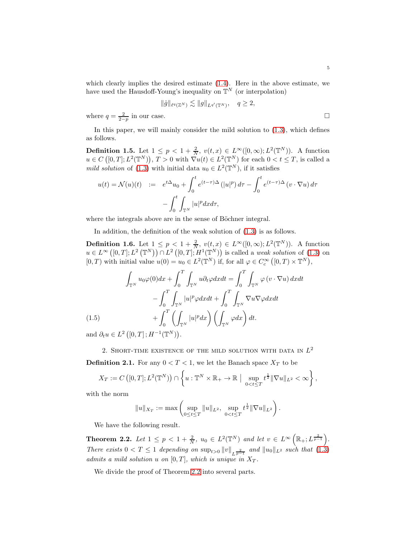which clearly implies the desired estimate [\(1.4\)](#page-3-1). Here in the above estimate, we have used the Hausdoff-Young's inequality on  $\mathbb{T}^N$  (or interpolation)

$$
\|\hat{g}\|_{\ell^q(\mathbb{Z}^N)} \lesssim \|g\|_{L^{q'}(\mathbb{T}^N)}, \quad q \ge 2,
$$

where  $q = \frac{2}{2-p}$  in our case.

In this paper, we will mainly consider the mild solution to [\(1.3\)](#page-2-2), which defines as follows.

<span id="page-4-1"></span>**Definition 1.5.** Let  $1 \leq p < 1 + \frac{2}{N}$ ,  $v(t, x) \in L^{\infty}([0, \infty); L^2(\mathbb{T}^N))$ . A function  $u \in C([0,T]; L^2(\mathbb{T}^N)), T > 0$  with  $\overline{\nabla}u(t) \in L^2(\mathbb{T}^N)$  for each  $0 < t \leq T$ , is called a mild solution of [\(1.3\)](#page-2-2) with initial data  $u_0 \in L^2(\mathbb{T}^N)$ , if it satisfies

$$
u(t) = \mathcal{N}(u)(t) := e^{t\Delta}u_0 + \int_0^t e^{(t-\tau)\Delta} (|u|^p) d\tau - \int_0^t e^{(t-\tau)\Delta} (v \cdot \nabla u) d\tau
$$

$$
- \int_0^t \int_{\mathbb{T}^N} |u|^p dx d\tau,
$$

where the integrals above are in the sense of Böchner integral.

In addition, the definition of the weak solution of [\(1.3\)](#page-2-2) is as follows.

**Definition 1.6.** Let  $1 \leq p \leq 1 + \frac{2}{N}$ ,  $v(t, x) \in L^{\infty}([0, \infty); L^2(\mathbb{T}^N))$ . A function  $u \in L^{\infty}([0,T]; L^2(\mathbb{T}^N)) \cap L^2([0,T]; H^1(\mathbb{T}^N))$  is called a weak solution of [\(1.3\)](#page-2-2) on  $[0, T)$  with initial value  $u(0) = u_0 \in L^2(\mathbb{T}^N)$  if, for all  $\varphi \in C_c^{\infty}([0, T) \times \mathbb{T}^N)$ ,

<span id="page-4-3"></span>
$$
\int_{\mathbb{T}^N} u_0 \varphi(0) dx + \int_0^T \int_{\mathbb{T}^N} u \partial_t \varphi dx dt = \int_0^T \int_{\mathbb{T}^N} \varphi(v \cdot \nabla u) dx dt
$$

$$
- \int_0^T \int_{\mathbb{T}^N} |u|^p \varphi dx dt + \int_0^T \int_{\mathbb{T}^N} \nabla u \nabla \varphi dx dt
$$

$$
(1.5) \qquad \qquad + \int_0^T \left( \int_{\mathbb{T}^N} |u|^p dx \right) \left( \int_{\mathbb{T}^N} \varphi dx \right) dt.
$$

<span id="page-4-0"></span>and  $\partial_t u \in L^2([0,T];H^{-1}(\mathbb{T}^N)).$ 

2. SHORT-TIME EXISTENCE OF THE MILD SOLUTION WITH DATA IN  $L^2$ 

**Definition 2.1.** For any  $0 < T < 1$ , we let the Banach space  $X_T$  to be

$$
X_T := C\left([0,T];L^2(\mathbb{T}^N)\right) \cap \left\{ u : \mathbb{T}^N \times \mathbb{R}_+ \to \mathbb{R} \Big| \sup_{0 \le t \le T} t^{\frac{1}{2}} \|\nabla u\|_{L^2} < \infty \right\},\
$$

with the norm

$$
||u||_{X_T} := \max \left( \sup_{0 \leq t \leq T} ||u||_{L^2}, \sup_{0 < t \leq T} t^{\frac{1}{2}} ||\nabla u||_{L^2} \right).
$$

We have the following result.

<span id="page-4-2"></span>**Theorem 2.2.** Let  $1 \leq p < 1 + \frac{2}{N}$ ,  $u_0 \in L^2(\mathbb{T}^N)$  and let  $v \in L^{\infty}(\mathbb{R}_+; L^{\frac{2}{p-1}})$ . There exists  $0 < T \leq 1$  depending on  $\sup_{t>0} ||v||_{L^{\frac{2}{p-1}}}$  and  $||u_0||_{L^2}$  such that [\(1.3\)](#page-2-2) admits a mild solution u on  $[0, T]$ , which is unique in  $X_T$ .

We divide the proof of Theorem [2.2](#page-4-2) into several parts.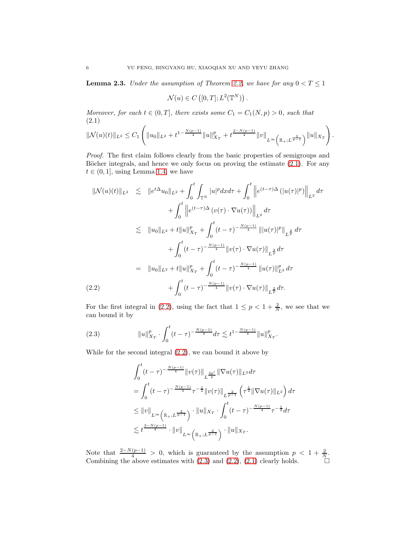<span id="page-5-3"></span>**Lemma 2.3.** Under the assumption of Theorem [2.2,](#page-4-2) we have for any  $0 < T \le 1$ 

$$
\mathcal{N}(u) \in C([0, T]; L^2(\mathbb{T}^N)).
$$

Moreover, for each  $t \in (0, T]$ , there exists some  $C_1 = C_1(N, p) > 0$ , such that (2.1)

<span id="page-5-0"></span>
$$
\|\mathcal{N}(u)(t)\|_{L^2}\leq C_1\left(\|u_0\|_{L^2}+t^{1-\frac{N(p-1)}{4}}\|u\|_{X_T}^p+t^{\frac{2-N(p-1)}{4}}\|v\|_{L^\infty\left(\mathbb{R}_+;L^{\frac{2}{p-1}}\right)}\|u\|_{X_T}\right).
$$

Proof. The first claim follows clearly from the basic properties of semigroups and Böcher integrals, and hence we only focus on proving the estimate  $(2.1)$ . For any  $t \in (0, 1]$ , using Lemma [1.4,](#page-3-2) we have

<span id="page-5-1"></span>
$$
\|\mathcal{N}(u)(t)\|_{L^{2}} \leq \|e^{t\Delta}u_{0}\|_{L^{2}} + \int_{0}^{t} \int_{\mathbb{T}^{N}} |u|^{p} dx d\tau + \int_{0}^{t} \left\|e^{(t-\tau)\Delta} (|u(\tau)|^{p})\right\|_{L^{2}} d\tau \n+ \int_{0}^{t} \left\|e^{(t-\tau)\Delta} (v(\tau) \cdot \nabla u(\tau))\right\|_{L^{2}} d\tau \n\lesssim \|u_{0}\|_{L^{2}} + t \|u\|_{X_{T}}^{p} + \int_{0}^{t} (t-\tau)^{-\frac{N(p-1)}{4}} \|u(\tau)|^{p}\|_{L^{\frac{2}{p}}} d\tau \n+ \int_{0}^{t} (t-\tau)^{-\frac{N(p-1)}{4}} \|v(\tau) \cdot \nabla u(\tau)\|_{L^{\frac{2}{p}}} d\tau \n= \|u_{0}\|_{L^{2}} + t \|u\|_{X_{T}}^{p} + \int_{0}^{t} (t-\tau)^{-\frac{N(p-1)}{4}} \|u(\tau)\|_{L^{2}}^{p} d\tau \n+ \int_{0}^{t} (t-\tau)^{-\frac{N(p-1)}{4}} \|v(\tau) \cdot \nabla u(\tau)\|_{L^{\frac{2}{p}}} d\tau.
$$
\n(2.2)

For the first integral in [\(2.2\)](#page-5-1), using the fact that  $1 \le p < 1 + \frac{2}{N}$ , we see that we can bound it by

(2.3) 
$$
||u||_{X_T}^p \cdot \int_0^t (t-\tau)^{-\frac{N(p-1)}{4}} d\tau \lesssim t^{1-\frac{N(p-1)}{4}} ||u||_{X_T}^p.
$$

While for the second integral [\(2.2\)](#page-5-1), we can bound it above by

<span id="page-5-2"></span>
$$
\int_{0}^{t} (t-\tau)^{-\frac{N(p-1)}{4}} \|v(\tau)\|_{L^{\frac{2p'}{p}}} \|\nabla u(\tau)\|_{L^{2}} d\tau
$$
\n
$$
= \int_{0}^{t} (t-\tau)^{-\frac{N(p-1)}{4}} \tau^{-\frac{1}{2}} \|v(\tau)\|_{L^{\frac{2}{p-1}}} \left(\tau^{\frac{1}{2}} \|\nabla u(\tau)\|_{L^{2}}\right) d\tau
$$
\n
$$
\leq \|v\|_{L^{\infty}\left(\mathbb{R}_{+};L^{\frac{2}{p-1}}\right)} \cdot \|u\|_{X_{T}} \cdot \int_{0}^{t} (t-\tau)^{-\frac{N(p-1)}{4}} \tau^{-\frac{1}{2}} d\tau
$$
\n
$$
\lesssim t^{\frac{2-N(p-1)}{4}} \cdot \|v\|_{L^{\infty}\left(\mathbb{R}_{+};L^{\frac{2}{p-1}}\right)} \cdot \|u\|_{X_{T}}.
$$

Note that  $\frac{2-N(p-1)}{4} > 0$ , which is guaranteed by the assumption  $p < 1 + \frac{2}{N}$ . Combining the above estimates with  $(2.3)$  and  $(2.2)$ ,  $(2.1)$  clearly holds.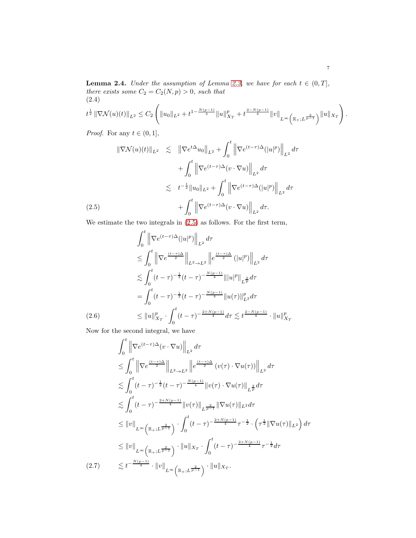<span id="page-6-4"></span>**Lemma 2.4.** Under the assumption of Lemma [2.3,](#page-5-3) we have for each  $t \in (0, T]$ , there exists some  $C_2 = C_2(N, p) > 0$ , such that (2.4)

<span id="page-6-1"></span>
$$
t^{\frac{1}{2}} \left\| \nabla \mathcal{N}(u)(t) \right\|_{L^{2}} \leq C_{2} \left( \|u_{0}\|_{L^{2}} + t^{1 - \frac{N(p-1)}{4}} \|u\|_{X_{T}}^{p} + t^{\frac{2-N(p-1)}{4}} \|v\|_{L^{\infty}\left(\mathbb{R}_{+};L^{\frac{2}{p-1}}\right)} \|u\|_{X_{T}} \right).
$$

*Proof.* For any  $t \in (0, 1]$ ,

<span id="page-6-0"></span>
$$
\|\nabla \mathcal{N}(u)(t)\|_{L^2} \leq \|\nabla e^{t\Delta}u_0\|_{L^2} + \int_0^t \left\|\nabla e^{(t-\tau)\Delta}(|u|^p)\right\|_{L^2} d\tau
$$
  
+ 
$$
\int_0^t \left\|\nabla e^{(t-\tau)\Delta}(v \cdot \nabla u)\right\|_{L^2} d\tau
$$
  

$$
\lesssim t^{-\frac{1}{2}} \|u_0\|_{L^2} + \int_0^t \left\|\nabla e^{(t-\tau)\Delta}(|u|^p)\right\|_{L^2} d\tau
$$
  
(2.5) 
$$
+ \int_0^t \left\|\nabla e^{(t-\tau)\Delta}(v \cdot \nabla u)\right\|_{L^2} d\tau.
$$

We estimate the two integrals in [\(2.5\)](#page-6-0) as follows. For the first term,

<span id="page-6-2"></span>
$$
\int_{0}^{t} \left\| \nabla e^{(t-\tau)\Delta} (|u|^{p}) \right\|_{L^{2}} d\tau
$$
\n
$$
\leq \int_{0}^{t} \left\| \nabla e^{\frac{(t-\tau)\Delta}{2}} \right\|_{L^{2} \to L^{2}} \left\| e^{\frac{(t-\tau)\Delta}{2}} (|u|^{p}) \right\|_{L^{2}} d\tau
$$
\n
$$
\lesssim \int_{0}^{t} (t-\tau)^{-\frac{1}{2}} (t-\tau)^{-\frac{N(p-1)}{4}} \| |u|^{p} \|_{L^{\frac{2}{p}}} d\tau
$$
\n
$$
= \int_{0}^{t} (t-\tau)^{-\frac{1}{2}} (t-\tau)^{-\frac{N(p-1)}{4}} \| u(\tau) \|_{L^{2}}^{p} d\tau
$$
\n
$$
\leq \| u \|_{X_{T}}^{p} \cdot \int_{0}^{t} (t-\tau)^{-\frac{2+N(p-1)}{4}} d\tau \lesssim t^{\frac{2-N(p-1)}{4}} \cdot \| u \|_{X_{T}}^{p}
$$

Now for the second integral, we have

<span id="page-6-3"></span>
$$
\int_{0}^{t} \left\| \nabla e^{(t-\tau)\Delta}(v \cdot \nabla u) \right\|_{L^{2}} d\tau
$$
\n
$$
\leq \int_{0}^{t} \left\| \nabla e^{\frac{(t-\tau)\Delta}{2}} \right\|_{L^{2} \to L^{2}} \left\| e^{\frac{(t-\tau)\Delta}{2}} (v(\tau) \cdot \nabla u(\tau)) \right\|_{L^{2}} d\tau
$$
\n
$$
\lesssim \int_{0}^{t} (t-\tau)^{-\frac{1}{2}} (t-\tau)^{-\frac{N(p-1)}{4}} \|v(\tau) \cdot \nabla u(\tau) \|_{L^{\frac{2}{p}}} d\tau
$$
\n
$$
\lesssim \int_{0}^{t} (t-\tau)^{-\frac{2+N(p-1)}{4}} \|v(\tau) \|_{L^{\frac{2}{p-1}}} \|\nabla u(\tau) \|_{L^{2}} d\tau
$$
\n
$$
\leq \|v\|_{L^{\infty}(\mathbb{R}_{+};L^{\frac{2}{p-1}})} \cdot \int_{0}^{t} (t-\tau)^{-\frac{2+N(p-1)}{4}} \tau^{-\frac{1}{2}} \cdot (\tau^{\frac{1}{2}} \|\nabla u(\tau) \|_{L^{2}}) d\tau
$$
\n
$$
\leq \|v\|_{L^{\infty}(\mathbb{R}_{+};L^{\frac{2}{p-1}})} \cdot \|u\|_{X_{T}} \cdot \int_{0}^{t} (t-\tau)^{-\frac{2+N(p-1)}{4}} \tau^{-\frac{1}{2}} d\tau
$$
\n
$$
(2.7) \qquad \lesssim t^{-\frac{N(p-1)}{4}} \cdot \|v\|_{L^{\infty}(\mathbb{R}_{+};L^{\frac{2}{p-1}})} \cdot \|u\|_{X_{T}}.
$$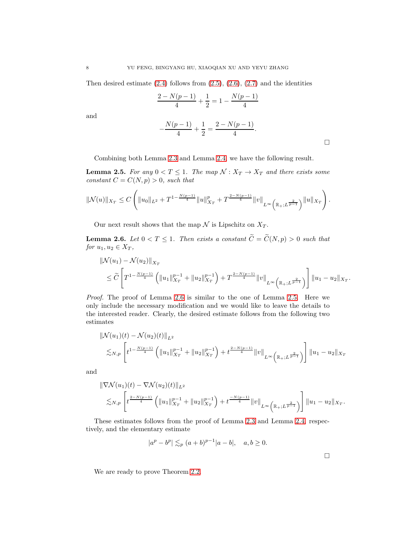Then desired estimate  $(2.4)$  follows from  $(2.5)$ ,  $(2.6)$ ,  $(2.7)$  and the identities

$$
\frac{2 - N(p-1)}{4} + \frac{1}{2} = 1 - \frac{N(p-1)}{4}
$$

and

$$
-\frac{N(p-1)}{4} + \frac{1}{2} = \frac{2 - N(p-1)}{4}.
$$

Combining both Lemma [2.3](#page-5-3) and Lemma [2.4,](#page-6-4) we have the following result.

<span id="page-7-1"></span>**Lemma 2.5.** For any  $0 < T \leq 1$ . The map  $\mathcal{N}: X_T \to X_T$  and there exists some constant  $C = C(N, p) > 0$ , such that

$$
\|\mathcal{N}(u)\|_{X_T} \leq C \left( \|u_0\|_{L^2} + T^{1-\frac{N(p-1)}{4}} \|u\|_{X_T}^p + T^{\frac{2-N(p-1)}{4}} \|v\|_{L^\infty\left(\mathbb{R}_+;L^{\frac{2}{p-1}}\right)} \|u\|_{X_T}\right).
$$

Our next result shows that the map  $\mathcal N$  is Lipschitz on  $X_T$ .

<span id="page-7-0"></span>**Lemma 2.6.** Let  $0 < T \leq 1$ . Then exists a constant  $\widetilde{C} = \widetilde{C}(N, p) > 0$  such that for  $u_1, u_2 \in X_T$ ,

$$
\| \mathcal{N}(u_1) - \mathcal{N}(u_2) \|_{X_T}
$$
  
\n
$$
\leq \widetilde{C} \left[ T^{1 - \frac{N(p-1)}{4}} \left( \|u_1\|_{X_T}^{p-1} + \|u_2\|_{X_T}^{p-1} \right) + T^{\frac{2 - N(p-1)}{4}} \|v\|_{L^\infty \left( \mathbb{R}_+; L^{\frac{2}{p-1}} \right)} \right] \|u_1 - u_2\|_{X_T}
$$

Proof. The proof of Lemma [2.6](#page-7-0) is similar to the one of Lemma [2.5.](#page-7-1) Here we only include the necessary modification and we would like to leave the details to the interested reader. Clearly, the desired estimate follows from the following two estimates

$$
\| \mathcal{N}(u_1)(t) - \mathcal{N}(u_2)(t) \|_{L^2}
$$
  

$$
\lesssim_{N,p} \left[ t^{1 - \frac{N(p-1)}{4}} \left( \|u_1\|_{X_T}^{p-1} + \|u_2\|_{X_T}^{p-1} \right) + t^{\frac{2 - N(p-1)}{4}} \|v\|_{L^\infty \left(\mathbb{R}_+, L^{\frac{2}{p-1}}\right)} \right] \|u_1 - u_2\|_{X_T}
$$

and

$$
\|\nabla \mathcal{N}(u_1)(t) - \nabla \mathcal{N}(u_2)(t)\|_{L^2}
$$
  
\$\lesssim\_{N,p} \left[ t^{\frac{2-N(p-1)}{4}} \left( \|u\_1\|\_{X\_T}^{p-1} + \|u\_2\|\_{X\_T}^{p-1} \right) + t^{\frac{-N(p-1)}{4}} \|v\|\_{L^\infty \left(\mathbb{R}\_+;L^{\frac{2}{p-1}}\right)} \right] \|u\_1 - u\_2\|\_{X\_T}\$.

These estimates follows from the proof of Lemma [2.3](#page-5-3) and Lemma [2.4,](#page-6-4) respectively, and the elementary estimate

$$
|a^p - b^p| \lesssim_p (a+b)^{p-1} |a-b|, \quad a, b \ge 0.
$$

 $\Box$ 

.

We are ready to prove Theorem [2.2.](#page-4-2)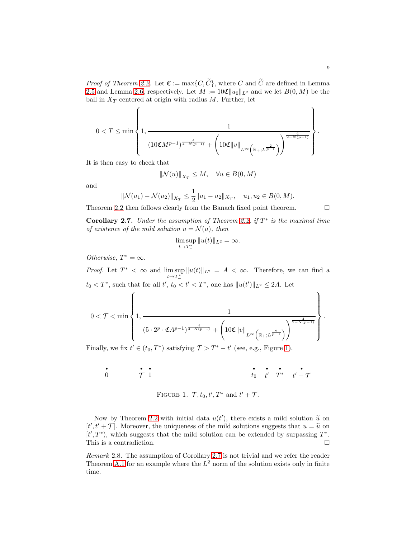*Proof of Theorem [2.2.](#page-4-2)* Let  $\mathfrak{C} := \max\{C, \widetilde{C}\}\$ , where C and  $\widetilde{C}$  are defined in Lemma [2.5](#page-7-1) and Lemma [2.6,](#page-7-0) respectively. Let  $M := 10 \mathfrak{C} ||u_0||_{L^2}$  and we let  $B(0, M)$  be the ball in  $X_T$  centered at origin with radius M. Further, let

$$
0 < T \le \min\left\{1, \frac{1}{(10 \mathfrak{C} M^{p-1})^{\frac{4}{4-N(p-1)}} + \left(10 \mathfrak{C} ||v||_{L^{\infty}\left(\mathbb{R}_+;L^{\frac{2}{p-1}}\right)}\right)^{\frac{4}{2-N(p-1)}}}\right\}.
$$

It is then easy to check that

$$
\|\mathcal{N}(u)\|_{X_T} \le M, \quad \forall u \in B(0, M)
$$

and

$$
\|\mathcal{N}(u_1) - \mathcal{N}(u_2)\|_{X_T} \le \frac{1}{2} \|u_1 - u_2\|_{X_T}, \quad u_1, u_2 \in B(0, M).
$$

Theorem [2.2](#page-4-2) then follows clearly from the Banach fixed point theorem.  $\Box$ 

<span id="page-8-1"></span>**Corollary 2.7.** Under the assumption of Theorem [2.2,](#page-4-2) if  $T^*$  is the maximal time of existence of the mild solution  $u = \mathcal{N}(u)$ , then

$$
\limsup_{t \to T^*_-} \|u(t)\|_{L^2} = \infty.
$$

Otherwise,  $T^* = \infty$ .

*Proof.* Let  $T^* < \infty$  and  $\limsup_{t \to T^*_{-}}$  $||u(t)||_{L^2} = A < \infty$ . Therefore, we can find a  $t_0 < T^*$ , such that for all  $t'$ ,  $t_0 < t' < T^*$ , one has  $||u(t')||_{L^2} \leq 2A$ . Let

$$
0 < \mathcal{T} < \min\left\{1, \frac{1}{(5 \cdot 2^p \cdot \mathfrak{C} A^{p-1})^{\frac{4}{4-N(p-1)}} + \left(10\mathfrak{C} ||v||_{L^{\infty}(\mathbb{R}_+;L^{\frac{2}{p-1}})}\right)^{\frac{4}{2-N(p-1)}}}\right\}.
$$

Finally, we fix  $t' \in (t_0, T^*)$  satisfying  $\mathcal{T} > T^* - t'$  (see, e.g., Figure [1\)](#page-8-0).

$$
\begin{array}{ccccc}\n\bullet & \bullet & \bullet & \bullet & \bullet & \bullet \\
\hline\n0 & & \mathcal{T} & 1 & & \end{array}\n\qquad \qquad \begin{array}{ccccc}\n\bullet & \bullet & \bullet & \bullet & \bullet \\
t_0 & t' & T^* & t' + \mathcal{T}\n\end{array}
$$

<span id="page-8-0"></span>FIGURE 1. 
$$
\mathcal{T}, t_0, t', T^*
$$
 and  $t' + \mathcal{T}$ .

Now by Theorem [2.2](#page-4-2) with initial data  $u(t')$ , there exists a mild solution  $\tilde{u}$  on  $u'(t)$  $[t', t' + \mathcal{T}]$ . Moreover, the uniqueness of the mild solutions suggests that  $u = \tilde{u}$  on  $[t', t' + \mathcal{T}]$ .  $[t',T^*)$ , which suggests that the mild solution can be extended by surpassing  $T^*$ . This is a contradiction.

Remark 2.8. The assumption of Corollary [2.7](#page-8-1) is not trivial and we refer the reader Theorem [A.1](#page-32-2) for an example where the  $L^2$  norm of the solution exists only in finite time.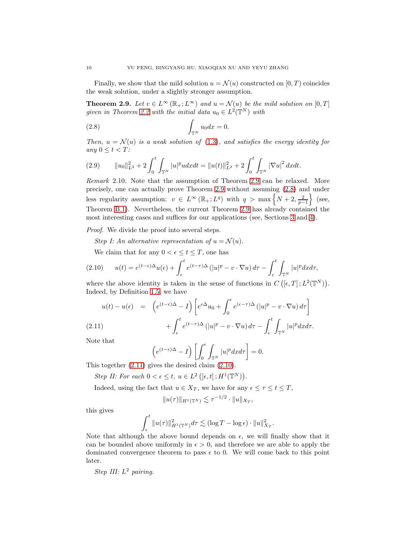Finally, we show that the mild solution  $u = \mathcal{N}(u)$  constructed on  $[0, T)$  coincides the weak solution, under a slightly stronger assumption.

<span id="page-9-0"></span>**Theorem 2.9.** Let  $v \in L^{\infty}(\mathbb{R}_{+}; L^{\infty})$  and  $u = \mathcal{N}(u)$  be the mild solution on  $[0, T]$ given in Theorem [2.2](#page-4-2) with the initial data  $u_0 \in L^2(\mathbb{T}^N)$  with

<span id="page-9-1"></span>(2.8) 
$$
\int_{\mathbb{T}^N} u_0 dx = 0.
$$

Then,  $u = \mathcal{N}(u)$  is a weak solution of [\(1.3\)](#page-2-2), and satisfies the energy identity for any  $0 \leq t < T$ :

<span id="page-9-4"></span>(2.9) 
$$
\|u_0\|_{L^2}^2 + 2\int_0^t \int_{\mathbb{T}^N} |u|^p u dx dt = \|u(t)\|_{L^2}^2 + 2\int_0^t \int_{\mathbb{T}^N} |\nabla u|^2 dx dt.
$$

Remark 2.10. Note that the assumption of Theorem [2.9](#page-9-0) can be relaxed. More precisely, one can actually prove Theorem [2.9](#page-9-0) without assuming [\(2.8\)](#page-9-1) and under less regularity assumption:  $v \in L^{\infty}(\mathbb{R}_{+}; L^{q})$  with  $q > \max\left\{N+2, \frac{2}{p-1}\right\}$  $\}$  (see, Theorem [B.1\)](#page-32-3). Nevertheless, the current Theorem [2.9](#page-9-0) has already contained the most interesting cases and suffices for our applications (see, Sections [3](#page-13-0) and [4\)](#page-16-0).

Proof. We divide the proof into several steps.

Step I: An alternative representation of  $u = \mathcal{N}(u)$ .

<span id="page-9-3"></span>We claim that for any  $0 < \epsilon \leq t \leq T$ , one has

$$
(2.10) \t u(t) = e^{(t-\epsilon)\Delta}u(\epsilon) + \int_{\epsilon}^{t} e^{(t-\tau)\Delta} (|u|^p - v \cdot \nabla u) d\tau - \int_{\epsilon}^{t} \int_{\mathbb{T}^N} |u|^p dx d\tau,
$$

where the above identity is taken in the sense of functions in  $C([e,T];L^2(\mathbb{T}^N))$ . Indeed, by Definition [1.5,](#page-4-1) we have

<span id="page-9-2"></span>
$$
u(t) - u(\epsilon) = \left( e^{(t-\epsilon)\Delta} - I \right) \left[ e^{\epsilon \Delta} u_0 + \int_0^{\epsilon} e^{(\epsilon-\tau)\Delta} (|u|^p - v \cdot \nabla u) d\tau \right]
$$

(2.11) 
$$
+ \int_{\epsilon}^{t} e^{(t-\tau)\Delta} (|u|^{p} - v \cdot \nabla u) d\tau - \int_{\epsilon}^{t} \int_{\mathbb{T}^{N}} |u|^{p} dx d\tau.
$$

Note that

$$
\left(e^{(t-\epsilon)\Delta} - I\right) \left[\int_0^{\epsilon} \int_{\mathbb{T}^N} |u|^p dx d\tau\right] = 0.
$$
  
This together (2.11) gives the desired claim (2.10).

Step II: For each  $0 < \epsilon \leq t$ ,  $u \in L^2([\epsilon, t]; H^1(\mathbb{T}^N))$ .

Indeed, using the fact that  $u \in X_T$ , we have for any  $\epsilon \leq \tau \leq t \leq T$ ,

$$
||u(\tau)||_{H^1(\mathbb{T}^N)} \lesssim \tau^{-1/2} \cdot ||u||_{X_T},
$$

this gives

$$
\int_{\epsilon}^{t} \|u(\tau)\|_{H^1(\mathbb{T}^N)}^2 d\tau \lesssim (\log T - \log \epsilon) \cdot \|u\|_{X_T}^2.
$$

Note that although the above bound depends on  $\epsilon$ , we will finally show that it can be bounded above uniformly in  $\epsilon > 0$ , and therefore we are able to apply the dominated convergence theorem to pass  $\epsilon$  to 0. We will come back to this point later.

Step III:  $L^2$  pairing.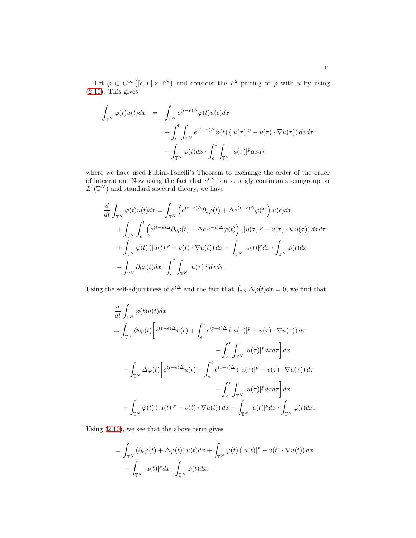Let  $\varphi \in C^{\infty}([\epsilon, T] \times \mathbb{T}^{N})$  and consider the  $L^{2}$  pairing of  $\varphi$  with u by using  $(2.10)$ . This gives

$$
\int_{\mathbb{T}^N} \varphi(t)u(t)dx = \int_{\mathbb{T}^N} e^{(t-\epsilon)\Delta} \varphi(t)u(\epsilon)dx \n+ \int_{\epsilon}^t \int_{\mathbb{T}^N} e^{(t-\tau)\Delta} \varphi(t) \left( |u(\tau)|^p - v(\tau) \cdot \nabla u(\tau) \right) dx d\tau \n- \int_{\mathbb{T}^N} \varphi(t) dx \cdot \int_{\epsilon}^t \int_{\mathbb{T}^N} |u(\tau)|^p dx d\tau,
$$

where we have used Fubini-Tonelli's Theorem to exchange the order of the order of integration. Now using the fact that  $e^{t\Delta}$  is a strongly continuous semigroup on  $L^2(\mathbb{T}^N)$  and standard spectral theory, we have

$$
\frac{d}{dt} \int_{\mathbb{T}^N} \varphi(t) u(t) dx = \int_{\mathbb{T}^N} \left( e^{(t-\epsilon)\Delta} \partial_t \varphi(t) + \Delta e^{(t-\epsilon)\Delta} \varphi(t) \right) u(\epsilon) dx \n+ \int_{\mathbb{T}^N} \int_{\epsilon}^t \left( e^{(t-\epsilon)\Delta} \partial_t \varphi(t) + \Delta e^{(t-\epsilon)\Delta} \varphi(t) \right) (|u(\tau)|^p - v(\tau) \cdot \nabla u(\tau)) dx d\tau \n+ \int_{\mathbb{T}^N} \varphi(t) (|u(t)|^p - v(t) \cdot \nabla u(t)) dx - \int_{\mathbb{T}^N} |u(t)|^p dx \cdot \int_{\mathbb{T}^N} \varphi(t) dx \n- \int_{\mathbb{T}^N} \partial_t \varphi(t) dx \cdot \int_{\epsilon}^t \int_{\mathbb{T}^N} |u(\tau)|^p dx d\tau.
$$

Using the self-adjointness of  $e^{t\Delta}$  and the fact that  $\int_{\mathbb{T}^N} \Delta \varphi(t) dx = 0$ , we find that

$$
\frac{d}{dt} \int_{\mathbb{T}^N} \varphi(t) u(t) dx
$$
\n
$$
= \int_{\mathbb{T}^N} \partial_t \varphi(t) \left[ e^{(t-\epsilon)\Delta} u(\epsilon) + \int_{\epsilon}^t e^{(t-\epsilon)\Delta} (|u(\tau)|^p - v(\tau) \cdot \nabla u(\tau)) d\tau \right. \\
\left. - \int_{\epsilon}^t \int_{\mathbb{T}^N} |u(\tau)|^p dx d\tau \right] dx
$$
\n
$$
+ \int_{\mathbb{T}^N} \Delta \varphi(t) \left[ e^{(t-\epsilon)\Delta} u(\epsilon) + \int_{\epsilon}^t e^{(t-\epsilon)\Delta} (|u(\tau)|^p - v(\tau) \cdot \nabla u(\tau)) d\tau \right. \\
\left. - \int_{\epsilon}^t \int_{\mathbb{T}^N} |u(\tau)|^p dx d\tau \right] dx
$$
\n
$$
+ \int_{\mathbb{T}^N} \varphi(t) (|u(t)|^p - v(t) \cdot \nabla u(t)) dx - \int_{\mathbb{T}^N} |u(t)|^p dx \cdot \int_{\mathbb{T}^N} \varphi(t) dx.
$$

Using [\(2.10\)](#page-9-3), we see that the above term gives

$$
= \int_{\mathbb{T}^N} \left( \partial_t \varphi(t) + \Delta \varphi(t) \right) u(t) dx + \int_{\mathbb{T}^N} \varphi(t) \left( |u(t)|^p - v(t) \cdot \nabla u(t) \right) dx - \int_{\mathbb{T}^N} |u(t)|^p dx \cdot \int_{\mathbb{T}^N} \varphi(t) dx.
$$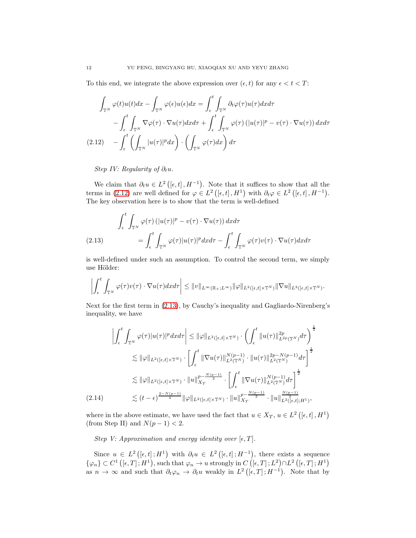To this end, we integrate the above expression over  $(\epsilon, t)$  for any  $\epsilon < t < T$ :

<span id="page-11-0"></span>
$$
\int_{\mathbb{T}^N} \varphi(t)u(t)dx - \int_{\mathbb{T}^N} \varphi(\epsilon)u(\epsilon)dx = \int_{\epsilon}^t \int_{\mathbb{T}^N} \partial_t \varphi(\tau)u(\tau)dx d\tau \n- \int_{\epsilon}^t \int_{\mathbb{T}^N} \nabla \varphi(\tau) \cdot \nabla u(\tau)dx d\tau + \int_{\epsilon}^t \int_{\mathbb{T}^N} \varphi(\tau) \left( |u(\tau)|^p - v(\tau) \cdot \nabla u(\tau) \right) dx d\tau \n(2.12) \quad - \int_{\epsilon}^t \left( \int_{\mathbb{T}^N} |u(\tau)|^p dx \right) \cdot \left( \int_{\mathbb{T}^N} \varphi(\tau) dx \right) d\tau
$$

Step IV: Regularity of  $\partial_t u$ .

We claim that  $\partial_t u \in L^2([e,t], H^{-1})$ . Note that it suffices to show that all the terms in [\(2.12\)](#page-11-0) are well defined for  $\varphi \in L^2([\epsilon, t], H^1)$  with  $\partial_t \varphi \in L^2([\epsilon, t], H^{-1})$ . The key observation here is to show that the term is well-defined

<span id="page-11-1"></span>
$$
\int_{\epsilon}^{t} \int_{\mathbb{T}^{N}} \varphi(\tau) \left( |u(\tau)|^{p} - v(\tau) \cdot \nabla u(\tau) \right) d\tau d\tau
$$
\n
$$
(2.13) \qquad \qquad = \int_{\epsilon}^{t} \int_{\mathbb{T}^{N}} \varphi(\tau) |u(\tau)|^{p} d\tau d\tau - \int_{\epsilon}^{t} \int_{\mathbb{T}^{N}} \varphi(\tau) v(\tau) \cdot \nabla u(\tau) d\tau d\tau
$$

is well-defined under such an assumption. To control the second term, we simply use Hölder:

$$
\left| \int_{\epsilon}^{t} \int_{\mathbb{T}^{N}} \varphi(\tau) v(\tau) \cdot \nabla u(\tau) dx d\tau \right| \leq \|v\|_{L^{\infty}(\mathbb{R}_{+}; L^{\infty})} \|\varphi\|_{L^{2}([\epsilon, t] \times \mathbb{T}^{N})} \|\nabla u\|_{L^{2}([\epsilon, t] \times \mathbb{T}^{N})}.
$$

Next for the first term in [\(2.13\)](#page-11-1), by Cauchy's inequality and Gagliardo-Nirenberg's inequality, we have

<span id="page-11-2"></span>
$$
\left| \int_{\epsilon}^{t} \int_{\mathbb{T}^{N}} \varphi(\tau) |u(\tau)|^{p} dxd\tau \right| \leq \|\varphi\|_{L^{2}([\epsilon,t] \times \mathbb{T}^{N})} \cdot \left( \int_{\epsilon}^{t} \|u(\tau)\|_{L^{2p}(\mathbb{T}^{N})}^{2p} d\tau \right)^{\frac{1}{2}}
$$
  
\n
$$
\lesssim \|\varphi\|_{L^{2}([\epsilon,t] \times \mathbb{T}^{N})} \cdot \left[ \int_{\epsilon}^{t} \|\nabla u(\tau)\|_{L^{2}(\mathbb{T}^{N})}^{N(p-1)} \cdot \|u(\tau)\|_{L^{2}(\mathbb{T}^{N})}^{2p-N(p-1)} d\tau \right]^{\frac{1}{2}}
$$
  
\n
$$
\lesssim \|\varphi\|_{L^{2}([\epsilon,t] \times \mathbb{T}^{N})} \cdot \|u\|_{X_{T}}^{p-\frac{N(p-1)}{2}} \cdot \left[ \int_{\epsilon}^{t} \|\nabla u(\tau)\|_{L^{2}(\mathbb{T}^{N})}^{N(p-1)} d\tau \right]^{\frac{1}{2}}
$$
  
\n(2.14) 
$$
\lesssim (t-\epsilon)^{\frac{2-N(p-1)}{4}} \|\varphi\|_{L^{2}([\epsilon,t] \times \mathbb{T}^{N})} \cdot \|u\|_{X_{T}}^{p-\frac{N(p-1)}{2}} \cdot \|u\|_{L^{2}([\epsilon,t];H^{1})}^{N(p-1)},
$$

where in the above estimate, we have used the fact that  $u \in X_T$ ,  $u \in L^2([\epsilon, t], H^1)$ (from Step II) and  $N(p-1) < 2$ .

Step V: Approximation and energy identity over  $[\epsilon, T]$ .

Since  $u \in L^2([\epsilon, t]; H^1)$  with  $\partial_t u \in L^2([\epsilon, t]; H^{-1})$ , there exists a sequence  $\{\varphi_n\} \subset C^1\left( [\epsilon, T]; H^1\right),$  such that  $\varphi_n \to u$  strongly in  $C\left( [\epsilon, T]; L^2\right) \cap L^2\left( [\epsilon, T]; H^1\right)$ as  $n \to \infty$  and such that  $\partial_t \varphi_n \to \partial_t u$  weakly in  $L^2([\epsilon, T]; H^{-1})$ . Note that by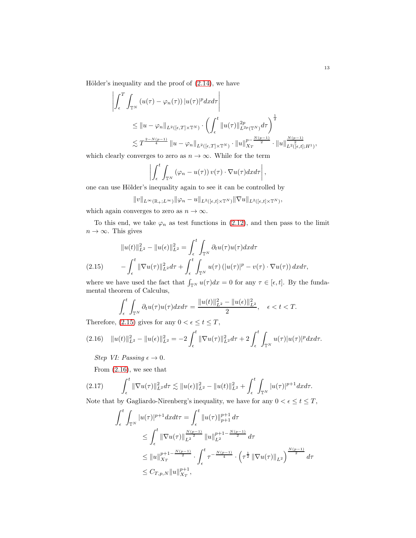Hölder's inequality and the proof of  $(2.14)$ , we have

$$
\left| \int_{\epsilon}^{T} \int_{\mathbb{T}^{N}} \left( u(\tau) - \varphi_{n}(\tau) \right) |u(\tau)|^{p} dxd\tau \right|
$$
  
\n
$$
\leq \|u - \varphi_{n}\|_{L^{2}([\epsilon, T] \times \mathbb{T}^{N})} \cdot \left( \int_{\epsilon}^{t} \|u(\tau)\|_{L^{2p}(\mathbb{T}^{N})}^{2p} d\tau \right)^{\frac{1}{2}}
$$
  
\n
$$
\lesssim T^{\frac{2-N(p-1)}{4}} \|u - \varphi_{n}\|_{L^{2}([\epsilon, T] \times \mathbb{T}^{N})} \cdot \|u\|_{X_{T}}^{p - \frac{N(p-1)}{2}} \cdot \|u\|_{L^{2}([\epsilon, t]; H^{1})}^{\frac{N(p-1)}{2}},
$$

which clearly converges to zero as  $n \to \infty$ . While for the term

$$
\left|\int_{\epsilon}^{t}\int_{\mathbb{T}^{N}}\left(\varphi_{n}-u(\tau)\right)v(\tau)\cdot\nabla u(\tau)dxd\tau\right|,
$$

one can use Hölder's inequality again to see it can be controlled by

$$
||v||_{L^{\infty}(\mathbb{R}_+;L^{\infty})}||\varphi_n-u||_{L^2([\epsilon,t]\times\mathbb{T}^N)}||\nabla u||_{L^2([\epsilon,t]\times\mathbb{T}^N)},
$$

which again converges to zero as  $n \to \infty$ .

To this end, we take  $\varphi_n$  as test functions in [\(2.12\)](#page-11-0), and then pass to the limit  $n \to \infty$ . This gives

<span id="page-12-0"></span>
$$
||u(t)||_{L^2}^2 - ||u(\epsilon)||_{L^2}^2 = \int_{\epsilon}^t \int_{\mathbb{T}^N} \partial_t u(\tau) u(\tau) d\tau
$$
  
(2.15) 
$$
- \int_{\epsilon}^t ||\nabla u(\tau)||_{L^2}^2 d\tau + \int_{\epsilon}^t \int_{\mathbb{T}^N} u(\tau) (|u(\tau)|^p - v(\tau) \cdot \nabla u(\tau)) d\tau d\tau,
$$

where we have used the fact that  $\int_{\mathbb{T}^N} u(\tau)dx = 0$  for any  $\tau \in [\epsilon, t]$ . By the fundamental theorem of Calculus,

$$
\int_{\epsilon}^{t} \int_{\mathbb{T}^N} \partial_t u(\tau) u(\tau) dx d\tau = \frac{\|u(t)\|_{L^2}^2 - \|u(\epsilon)\|_{L^2}^2}{2}, \quad \epsilon < t < T.
$$

Therefore, [\(2.15\)](#page-12-0) gives for any  $0 < \epsilon \leq t \leq T$ ,

$$
(2.16)\quad ||u(t)||_{L^2}^2 - ||u(\epsilon)||_{L^2}^2 = -2\int_{\epsilon}^t ||\nabla u(\tau)||_{L^2}^2 d\tau + 2\int_{\epsilon}^t \int_{\mathbb{T}^N} u(\tau)|u(\tau)|^p d\tau.
$$

<span id="page-12-1"></span>Step VI: Passing  $\epsilon \to 0$ .

From [\(2.16\)](#page-12-1), we see that

$$
(2.17) \qquad \int_{\epsilon}^{t} \|\nabla u(\tau)\|_{L^{2}}^{2} d\tau \lesssim \|u(\epsilon)\|_{L^{2}}^{2} - \|u(t)\|_{L^{2}}^{2} + \int_{\epsilon}^{t} \int_{\mathbb{T}^{N}} |u(\tau)|^{p+1} d\tau d\tau.
$$

Note that by Gagliardo-Nirenberg's inequality, we have for any  $0<\epsilon\leq t\leq T,$ 

<span id="page-12-2"></span>
$$
\int_{\epsilon}^{t} \int_{\mathbb{T}^{N}} |u(\tau)|^{p+1} dx dt = \int_{\epsilon}^{t} ||u(\tau)||_{p+1}^{p+1} d\tau
$$
\n
$$
\leq \int_{\epsilon}^{t} ||\nabla u(\tau)||_{L^{2}}^{\frac{N(p-1)}{2}} ||u||_{L^{2}}^{p+1-\frac{N(p-1)}{2}} d\tau
$$
\n
$$
\leq ||u||_{X_{T}}^{p+1-\frac{N(p-1)}{2}} \cdot \int_{\epsilon}^{t} \tau^{-\frac{N(p-1)}{4}} \cdot (\tau^{\frac{1}{2}} ||\nabla u(\tau)||_{L^{2}})^{\frac{N(p-1)}{2}} d\tau
$$
\n
$$
\leq C_{T,p,N} ||u||_{X_{T}}^{p+1},
$$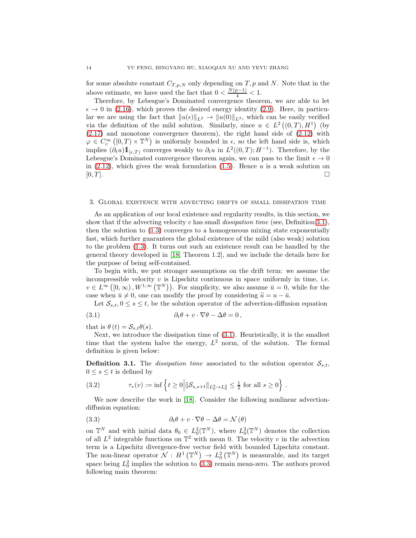for some absolute constant  $C_{T,p,N}$  only depending on T, p and N. Note that in the above estimate, we have used the fact that  $0 < \frac{N(p-1)}{4} < 1$ .

Therefore, by Lebesgue's Dominated convergence theorem, we are able to let  $\epsilon \to 0$  in [\(2.16\)](#page-12-1), which proves the desired energy identity [\(2.9\)](#page-9-4). Here, in particular we are using the fact that  $||u(\epsilon)||_{L^2} \to ||u(0)||_{L^2}$ , which can be easily verified via the definition of the mild solution. Similarly, since  $u \in L^2((0,T),H^1)$  (by [\(2.17\)](#page-12-2) and monotone convergence theorem), the right hand side of [\(2.12\)](#page-11-0) with  $\varphi \in C_c^{\infty}([0,T) \times \mathbb{T}^N)$  is uniformly bounded in  $\epsilon$ , so the left hand side is, which implies  $(\partial_t u) 1\!\!1_{[\epsilon,T]}$  converges weakly to  $\partial_t u$  in  $L^2((0,T);H^{-1})$ . Therefore, by the Lebesgue's Dominated convergence theorem again, we can pass to the limit  $\epsilon \to 0$ in  $(2.12)$ , which gives the weak formulation  $(1.5)$ . Hence u is a weak solution on  $[0, T]$ .

## <span id="page-13-0"></span>3. Global existence with advecting drifts of small dissipation time

As an application of our local existence and regularity results, in this section, we show that if the advecting velocity v has small *dissipation time* (see, Definition [3.1\)](#page-13-1), then the solution to [\(1.3\)](#page-2-2) converges to a homogeneous mixing state exponentially fast, which further guarantees the global existence of the mild (also weak) solution to the problem [\(1.3\)](#page-2-2). It turns out such an existence result can be handled by the general theory developed in [\[18,](#page-34-9) Theorem 1.2], and we include the details here for the purpose of being self-contained.

To begin with, we put stronger assumptions on the drift term: we assume the incompressible velocity  $v$  is Lipschitz continuous in space uniformly in time, i.e.  $v \in L^{\infty}([0,\infty), W^{1,\infty}(\mathbb{T}^N)).$  For simplicity, we also assume  $\bar{u} = 0$ , while for the case when  $\bar{u} \neq 0$ , one can modify the proof by considering  $\tilde{u} = u - \bar{u}$ .

<span id="page-13-1"></span>Let  $\mathcal{S}_{s,t}$ ,  $0 \leq s \leq t$ , be the solution operator of the advection-diffusion equation

(3.1) 
$$
\partial_t \theta + v \cdot \nabla \theta - \Delta \theta = 0,
$$

that is  $\theta(t) = S_{s,t}\theta(s)$ .

Next, we introduce the dissipation time of [\(3.1\)](#page-13-1). Heuristically, it is the smallest time that the system halve the energy,  $L^2$  norm, of the solution. The formal definition is given below:

**Definition 3.1.** The *dissipation time* associated to the solution operator  $S_{s,t}$ ,  $0 \leq s \leq t$  is defined by

(3.2) 
$$
\tau_*(v) := \inf \left\{ t \ge 0 \middle| \|S_{s,s+t}\|_{L_0^2 \to L_0^2} \le \frac{1}{2} \text{ for all } s \ge 0 \right\}.
$$

We now describe the work in [\[18\]](#page-34-9). Consider the following nonlinear advectiondiffusion equation:

<span id="page-13-2"></span>(3.3) 
$$
\partial_t \theta + v \cdot \nabla \theta - \Delta \theta = \mathcal{N}(\theta)
$$

on  $\mathbb{T}^N$  and with initial data  $\theta_0 \in L_0^2(\mathbb{T}^N)$ , where  $L_0^2(\mathbb{T}^N)$  denotes the collection of all  $L^2$  integrable functions on  $\mathbb{T}^2$  with mean 0. The velocity v in the advection term is a Lipschitz divergence-free vector field with bounded Lipschitz constant. The non-linear operator  $\mathcal{N}: H^1(\mathbb{T}^N) \to L^2_0(\mathbb{T}^N)$  is measurable, and its target space being  $L_0^2$  implies the solution to [\(3.3\)](#page-13-2) remain mean-zero. The authors proved following main theorem: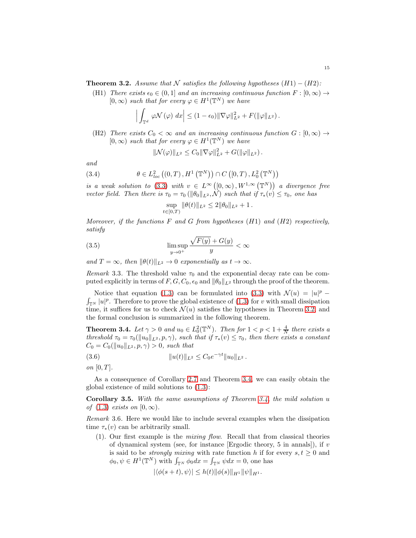<span id="page-14-0"></span>**Theorem 3.2.** Assume that N satisfies the following hypotheses  $(H1) - (H2)$ :

(H1) There exists  $\epsilon_0 \in (0, 1]$  and an increasing continuous function  $F : [0, \infty) \to$  $[0,\infty)$  such that for every  $\varphi \in H^1(\mathbb{T}^N)$  we have

$$
\left| \int_{\mathbb{T}^d} \varphi \mathcal{N}(\varphi) \, dx \right| \leq (1 - \epsilon_0) \|\nabla \varphi\|_{L^2}^2 + F(\|\varphi\|_{L^2}).
$$

(H2) There exists  $C_0 < \infty$  and an increasing continuous function  $G : [0, \infty) \rightarrow$  $[0,\infty)$  such that for every  $\varphi \in H^1(\mathbb{T}^N)$  we have

$$
\|\mathcal{N}(\varphi)\|_{L^2} \leq C_0 \|\nabla \varphi\|_{L^2}^2 + G(\|\varphi\|_{L^2}).
$$

and

(3.4) 
$$
\theta \in L^2_{loc}((0,T),H^1(\mathbb{T}^N)) \cap C([0,T),L^2_0(\mathbb{T}^N))
$$

is a weak solution to [\(3.3\)](#page-13-2) with  $v \in L^{\infty}([0,\infty), W^{1,\infty}(\mathbb{T}^N))$  a divergence free vector field. Then there is  $\tau_0 = \tau_0 (\|\theta_0\|_{L^2}, \mathcal{N})$  such that if  $\tau_*(v) \leq \tau_0$ , one has

<span id="page-14-4"></span>
$$
\sup_{t \in [0,T)} \|\theta(t)\|_{L^2} \le 2\|\theta_0\|_{L^2} + 1.
$$

Moreover, if the functions  $F$  and  $G$  from hypotheses  $(H1)$  and  $(H2)$  respectively, satisfy

(3.5) 
$$
\limsup_{y \to 0^+} \frac{\sqrt{F(y)} + G(y)}{y} < \infty
$$

and  $T = \infty$ , then  $\|\theta(t)\|_{L^2} \to 0$  exponentially as  $t \to \infty$ .

Remark 3.3. The threshold value  $\tau_0$  and the exponential decay rate can be computed explicitly in terms of F, G,  $C_0$ ,  $\epsilon_0$  and  $\|\theta_0\|_{L^2}$  through the proof of the theorem.

Notice that equation [\(1.3\)](#page-2-2) can be formulated into [\(3.3\)](#page-13-2) with  $\mathcal{N}(u) = |u|^p - \int_{\mathbb{R}^N} |u|^p$ . Therefore to prove the global existence of (1.3) for v with small dissipation  $\int_{\mathbb{T}^N} |u|^p$ . Therefore to prove the global existence of  $(1.3)$  for v with small dissipation time, it suffices for us to check  $\mathcal{N}(u)$  satisfies the hypotheses in Theorem [3.2,](#page-14-0) and the formal conclusion is summarized in the following theorem.

<span id="page-14-1"></span>**Theorem 3.4.** Let  $\gamma > 0$  and  $u_0 \in L_0^2(\mathbb{T}^N)$ . Then for  $1 < p < 1 + \frac{4}{N}$  there exists a threshold  $\tau_0 = \tau_0(\|u_0\|_{L^2}, p, \gamma)$ , such that if  $\tau_*(v) \leq \tau_0$ , then there exists a constant  $C_0 = C_0(||u_0||_{L^2}, p, \gamma) > 0$ , such that

(3.6) 
$$
||u(t)||_{L^2} \leq C_0 e^{-\gamma t} ||u_0||_{L^2}.
$$

on  $[0, T]$ .

As a consequence of Corollary [2.7](#page-8-1) and Theorem [3.4,](#page-14-1) we can easily obtain the global existence of mild solutions to [\(1.3\)](#page-2-2):

<span id="page-14-2"></span>**Corollary 3.5.** With the same assumptions of Theorem  $3.4$ , the mild solution u of  $(1.3)$  exists on  $[0, \infty)$ .

<span id="page-14-3"></span>Remark 3.6. Here we would like to include several examples when the dissipation time  $\tau_*(v)$  can be arbitrarily small.

(1). Our first example is the mixing flow. Recall that from classical theories of dynamical system (see, for instance [Ergodic theory, 5 in annals]), if  $v$ is said to be *strongly mixing* with rate function h if for every  $s, t \geq 0$  and  $\phi_0, \psi \in H^1(\mathbb{T}^N)$  with  $\int_{\mathbb{T}^N} \phi_0 dx = \int_{\mathbb{T}^N} \psi dx = 0$ , one has

$$
|\langle \phi(s+t), \psi \rangle| \le h(t) \|\phi(s)\|_{H^1} \|\psi\|_{H^1}.
$$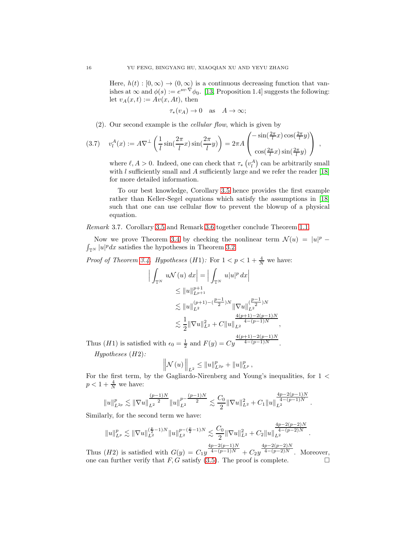Here,  $h(t): [0, \infty) \to (0, \infty)$  is a continuous decreasing function that vanishes at  $\infty$  and  $\phi(s) := e^{sv \cdot \nabla} \phi_0$ . [\[13,](#page-34-10) Proposition 1.4] suggests the following: let  $v_A(x, t) := Av(x, At)$ , then

$$
\tau_*(v_A) \to 0
$$
 as  $A \to \infty$ ;

(2). Our second example is the cellular flow, which is given by

$$
(3.7) \t v_l^A(x) := A \nabla^{\perp} \left( \frac{1}{l} \sin(\frac{2\pi}{l} x) \sin(\frac{2\pi}{l} y) \right) = 2\pi A \begin{pmatrix} -\sin(\frac{2\pi}{l} x) \cos(\frac{2\pi}{l} y) \\ \cos(\frac{2\pi}{l} x) \sin(\frac{2\pi}{l} y) \end{pmatrix} ,
$$

where  $\ell, A > 0$ . Indeed, one can check that  $\tau_* \left( v_i^A \right)$  can be arbitrarily small with  $l$  sufficiently small and  $A$  sufficiently large and we refer the reader [\[18\]](#page-34-9) for more detailed information.

To our best knowledge, Corollary [3.5](#page-14-2) hence provides the first example rather than Keller-Segel equations which satisfy the assumptions in [\[18\]](#page-34-9) such that one can use cellular flow to prevent the blowup of a physical equation.

Remark 3.7. Corollary [3.5](#page-14-2) and Remark [3.6](#page-14-3) together conclude Theorem [1.1.](#page-2-3)

Now we prove Theorem [3.4](#page-14-1) by checking the nonlinear term  $\mathcal{N}(u) = |u|^p - \int_{\mathbb{R}^N} |u|^p dx$  satisfies the hypotheses in Theorem 3.2.  $\int_{\mathbb{T}^N} |u|^p dx$  satisfies the hypotheses in Theorem [3.2.](#page-14-0)

*Proof of Theorem [3.4.](#page-14-1) Hypotheses*  $(H1)$ : For  $1 < p < 1 + \frac{4}{N}$  we have:

$$
\left| \int_{\mathbb{T}^N} u \mathcal{N}(u) dx \right| = \left| \int_{\mathbb{T}^N} u |u|^p dx \right|
$$
  
\n
$$
\leq \|u\|_{L^{p+1}}^{p+1}
$$
  
\n
$$
\lesssim \|u\|_{L^2}^{(p+1)-\left(\frac{p-1}{2}\right)N} \|\nabla u\|_{L^2}^{\left(\frac{p-1}{2}\right)N}
$$
  
\n
$$
\lesssim \frac{1}{2} \|\nabla u\|_{L^2}^2 + C \|u\|_{L^2}^{\frac{4(p+1)-2(p-1)N}{4-(p-1)N}},
$$

Thus (*H*1) is satisfied with  $\epsilon_0 = \frac{1}{2}$  and  $F(y) = Cy$  $4(p+1)-2(p-1)N$  $4-(p-1)N$  .

Hypotheses (H2):

$$
\left\|\mathcal{N}(u)\right\|_{L^2} \leq \|u\|_{L^{2p}}^p + \|u\|_{L^p}^p,
$$

For the first term, by the Gagliardo-Nirenberg and Young's inequalities, for 1 <  $p < 1 + \frac{4}{N}$  we have:

$$
||u||_{L^{2p}}^p \lesssim ||\nabla u||_{L^2}^{\frac{(p-1)N}{2}} ||u||_{L^2}^{p-\frac{(p-1)N}{2}} \lesssim \frac{C_0}{2} ||\nabla u||_{L^2}^2 + C_1 ||u||_{L^2}^{\frac{4p-2(p-1)N}{4-(p-1)N}}.
$$

Similarly, for the second term we have:

$$
||u||_{L^p}^p \lesssim ||\nabla u||_{L^2}^{(\frac{p}{2}-1)N} ||u||_{L^2}^{p-(\frac{p}{2}-1)N} \lesssim \frac{C_0}{2} ||\nabla u||_{L^2}^2 + C_2 ||u||_{L^2}^{\frac{4p-2(p-2)N}{4-(p-2)N}}.
$$
  

$$
\frac{4p-2(p-1)N}{4p-2(p-1)N}
$$

Thus  $(H2)$  is satisfied with  $G(y) = C_1y$  $4-(p-1)N + C_2y$  $4-(p-2)N$  . Moreover, one can further verify that  $F, G$  satisfy [\(3.5\)](#page-14-4). The proof is complete.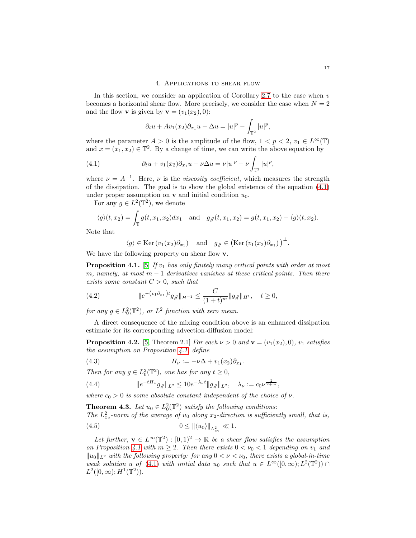<span id="page-16-0"></span>In this section, we consider an application of Corollary [2.7](#page-8-1) to the case when  $v$ becomes a horizontal shear flow. More precisely, we consider the case when  $N = 2$ and the flow **v** is given by **v** =  $(v_1(x_2), 0)$ :

<span id="page-16-2"></span>
$$
\partial_t u + Av_1(x_2)\partial_{x_1} u - \Delta u = |u|^p - \int_{\mathbb{T}^2} |u|^p,
$$

where the parameter  $A > 0$  is the amplitude of the flow,  $1 < p < 2$ ,  $v_1 \in L^{\infty}(\mathbb{T})$ and  $x = (x_1, x_2) \in \mathbb{T}^2$ . By a change of time, we can write the above equation by

(4.1) 
$$
\partial_t u + v_1(x_2)\partial_{x_1} u - \nu \Delta u = \nu |u|^p - \nu \int_{\mathbb{T}^2} |u|^p,
$$

where  $\nu = A^{-1}$ . Here,  $\nu$  is the *viscosity coefficient*, which measures the strength of the dissipation. The goal is to show the global existence of the equation [\(4.1\)](#page-16-2) under proper assumption on **v** and initial condition  $u_0$ .

For any  $g \in L^2(\mathbb{T}^2)$ , we denote

$$
\langle g \rangle (t, x_2) = \int_{\mathbb{T}} g(t, x_1, x_2) dx_1
$$
 and  $g_{\#}(t, x_1, x_2) = g(t, x_1, x_2) - \langle g \rangle (t, x_2).$ 

Note that

$$
\langle g \rangle \in \text{Ker}(v_1(x_2)\partial_{x_1})
$$
 and  $g_{\#} \in (\text{Ker}(v_1(x_2)\partial_{x_1}))^{\perp}$ .

We have the following property on shear flow **.** 

<span id="page-16-3"></span>**Proposition 4.1.** [\[5\]](#page-34-4) If  $v_1$  has only finitely many critical points with order at most m, namely, at most  $m-1$  derivatives vanishes at these critical points. Then there exists some constant  $C > 0$ , such that

<span id="page-16-8"></span>(4.2) 
$$
\|e^{-(v_1\partial_{x_1})t}g_{\#}\|_{H^{-1}} \leq \frac{C}{(1+t)^m}\|g_{\#}\|_{H^1}, \quad t \geq 0,
$$

for any  $g \in L_0^2(\mathbb{T}^2)$ , or  $L^2$  function with zero mean.

A direct consequence of the mixing condition above is an enhanced dissipation estimate for its corresponding advection-diffusion model:

<span id="page-16-6"></span>**Proposition 4.2.** [\[5,](#page-34-4) Theorem 2.1] For each  $\nu > 0$  and  $\mathbf{v} = (v_1(x_2), 0), v_1$  satisfies the assumption on Proposition [4.1,](#page-16-3) define

<span id="page-16-5"></span>(4.3) 
$$
H_{\nu} := -\nu \Delta + v_1(x_2) \partial_{x_1}.
$$

Then for any  $g \in L_0^2(\mathbb{T}^2)$ , one has for any  $t \geq 0$ ,

<span id="page-16-7"></span>(4.4) 
$$
\|e^{-tH_{\nu}}g_{\#}\|_{L^2} \leq 10e^{-\lambda_{\nu}t} \|g_{\#}\|_{L^2}, \quad \lambda_{\nu} := c_0\nu^{\frac{2}{2+m}},
$$

where  $c_0 > 0$  is some absolute constant independent of the choice of  $\nu$ .

<span id="page-16-1"></span>**Theorem 4.3.** Let  $u_0 \in L_0^2(\mathbb{T}^2)$  satisfy the following conditions: The  $L_{x_2}^2$ -norm of the average of  $u_0$  along  $x_2$ -direction is sufficiently small, that is, (4.5)  $0 \leq ||\langle u_0 \rangle||_{L^2_{x_2}} \ll 1.$ 

<span id="page-16-4"></span>Let further, 
$$
\mathbf{v} \in L^{\infty}(\mathbb{T}^2) : [0,1)^2 \to \mathbb{R}
$$
 be a shear flow satisfies the assumption  
on Proposition 4.1 with  $m \ge 2$ . Then there exists  $0 < \nu_0 < 1$  depending on  $v_1$  and  
 $||u_0||_{L^2}$  with the following property: for any  $0 < \nu < \nu_0$ , there exists a global-in-time  
weak solution u of (4.1) with initial data  $u_0$  such that  $u \in L^{\infty}([0,\infty); L^2(\mathbb{T}^2)) \cap$   
 $L^2([0,\infty); H^1(\mathbb{T}^2))$ .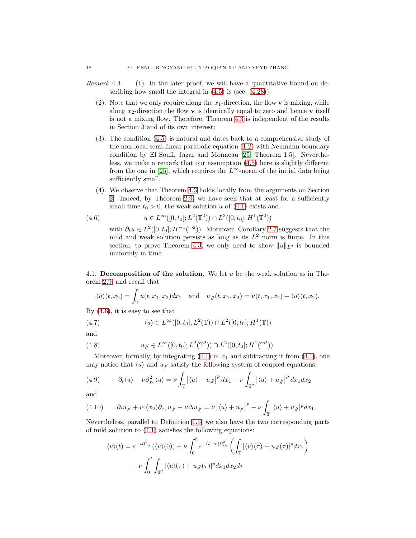- *Remark* 4.4. (1). In the later proof, we will have a quantitative bound on describing how small the integral in  $(4.5)$  is (see,  $(4.28)$ );
	- (2). Note that we only require along the  $x_1$ -direction, the flow **v** is mixing, while along  $x_2$ -direction the flow **v** is identically equal to zero and hence **v** itself is not a mixing flow. Therefore, Theorem [4.3](#page-16-1) is independent of the results in Section 3 and of its own interest;
	- (3). The condition [\(4.5\)](#page-16-4) is natural and dates back to a comprehensive study of the non-local semi-linear parabolic equation [\(1.2\)](#page-2-0) with Neumann boundary condition by El Soufi, Jazar and Monneau [\[25,](#page-35-5) Theorem 1.5]. Nevertheless, we make a remark that our assumption [\(4.5\)](#page-16-4) here is slightly different from the one in [\[25\]](#page-35-5), which requires the  $L^{\infty}$ -norm of the initial data being sufficiently small.
	- (4). We observe that Theorem [4.3](#page-16-1) holds locally from the arguments on Section [2.](#page-4-0) Indeed, by Theorem [2.9,](#page-9-0) we have seen that at least for a sufficiently small time  $t_0 > 0$ , the weak solution u of  $(4.1)$  exists and

(4.6) 
$$
u \in L^{\infty}([0, t_0]; L^2(\mathbb{T}^2)) \cap L^2([0, t_0]; H^1(\mathbb{T}^2))
$$

<span id="page-17-1"></span>with  $\partial_t u \in L^2([0, t_0]; H^{-1}(\mathbb{T}^2))$ . Moreover, Corollary [2.7](#page-8-1) suggests that the mild and weak solution persists as long as its  $L^2$  norm is finite. In this section, to prove Theorem [4.3,](#page-16-1) we only need to show  $||u||_{L^2}$  is bounded uniformly in time.

<span id="page-17-0"></span>4.1. Decomposition of the solution. We let u be the weak solution as in Theorem [2.9,](#page-9-0) and recall that

$$
\langle u \rangle (t, x_2) = \int_{\mathbb{T}} u(t, x_1, x_2) dx_1
$$
 and  $u_{\#}(t, x_1, x_2) = u(t, x_1, x_2) - \langle u \rangle (t, x_2).$ 

By  $(4.6)$ , it is easy to see that

(4.7) 
$$
\langle u \rangle \in L^{\infty}([0, t_0]; L^2(\mathbb{T})) \cap L^2([0, t_0]; H^1(\mathbb{T}))
$$

and

(4.8) 
$$
u_{\#} \in L^{\infty}([0, t_0]; L^2(\mathbb{T}^2)) \cap L^2([0, t_0]; H^1(\mathbb{T}^2)).
$$

Moreover, formally, by integrating  $(4.1)$  in  $x_1$  and subtracting it from  $(4.1)$ , one may notice that  $\langle u \rangle$  and  $u/\gamma$  satisfy the following system of coupled equations:

<span id="page-17-2"></span>(4.9) 
$$
\partial_t \langle u \rangle - \nu \partial_{x_2}^2 \langle u \rangle = \nu \int_{\mathbb{T}} \left| \langle u \rangle + u \, \rho \right|^p dx_1 - \nu \int_{\mathbb{T}^2} \left| \langle u \rangle + u \, \rho \right|^p dx_1 dx_2
$$

and

<span id="page-17-3"></span>
$$
(4.10) \qquad \partial_t u_{\#} + v_1(x_2)\partial_{x_1} u_{\#} - \nu \Delta u_{\#} = \nu \left| \langle u \rangle + u_{\#} \right|^p - \nu \int_{\mathbb{T}} |\langle u \rangle + u_{\#}|^p dx_1.
$$

Nevertheless, parallel to Definition [1.5,](#page-4-1) we also have the two corresponding parts of mild solution to [\(4.1\)](#page-16-2) satisfies the following equations:

$$
\langle u \rangle(t) = e^{-t\partial_{x_2}^2} (\langle u \rangle(0)) + \nu \int_0^t e^{-(t-\tau)\partial_{x_2}^2} \left( \int_{\mathbb{T}} |\langle u \rangle(\tau) + u_{\#}(\tau)|^p dx_1 \right)
$$

$$
- \nu \int_0^t \int_{\mathbb{T}^2} |\langle u \rangle(\tau) + u_{\#}(\tau)|^p dx_1 dx_2 d\tau
$$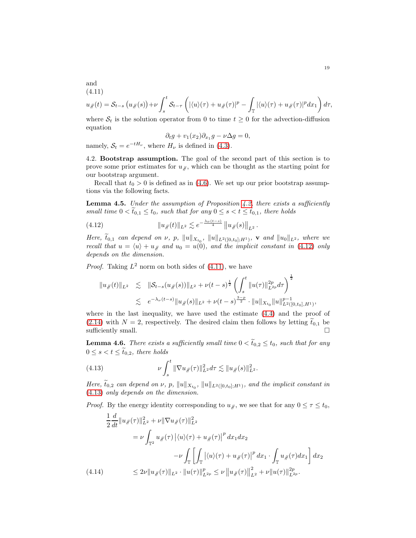and (4.11)

<span id="page-18-2"></span>
$$
u_{\#}(t) = S_{t-s}(u_{\#}(s)) + \nu \int_s^t S_{t-\tau}\left(|\langle u \rangle(\tau) + u_{\#}(\tau)|^p - \int_{\mathbb{T}} |\langle u \rangle(\tau) + u_{\#}(\tau)|^p dx_1\right)
$$

where  $S_t$  is the solution operator from 0 to time  $t \geq 0$  for the advection-diffusion equation

$$
\partial_t g + v_1(x_2)\partial_{x_1} g - \nu \Delta g = 0,
$$

<span id="page-18-0"></span>namely,  $S_t = e^{-tH_\nu}$ , where  $H_\nu$  is defined in [\(4.3\)](#page-16-5).

4.2. Bootstrap assumption. The goal of the second part of this section is to prove some prior estimates for  $u_{\ell}$ , which can be thought as the starting point for our bootstrap argument.

Recall that  $t_0 > 0$  is defined as in [\(4.6\)](#page-17-1). We set up our prior bootstrap assumptions via the following facts.

**Lemma 4.5.** Under the assumption of Proposition [4.2,](#page-16-6) there exists a sufficiently small time  $0 < \tilde{t}_{0,1} \le t_0$ , such that for any  $0 \le s < t \le \tilde{t}_{0,1}$ , there holds

<span id="page-18-1"></span>(4.12) 
$$
||u_{\#}(t)||_{L^{2}} \lesssim e^{-\frac{\lambda_{\nu}(t-s)}{4}} ||u_{\#}(s)||_{L^{2}}.
$$

Here,  $t_{0,1}$  can depend on  $\nu$ , p,  $||u||_{X_{t_0}}$ ,  $||u||_{L^2([0,t_0];H^1)}$ , **v** and  $||u_0||_{L^2}$ , where we recall that  $u = \langle u \rangle + u_{\#}$  and  $u_0 = u(0)$ , and the implicit constant in [\(4.12\)](#page-18-1) only depends on the dimension.

*Proof.* Taking  $L^2$  norm on both sides of [\(4.11\)](#page-18-2), we have

$$
||u_{\#}(t)||_{L^{2}} \leq ||\mathcal{S}_{t-s}(u_{\#}(s))||_{L^{2}} + \nu(t-s)^{\frac{1}{2}} \left(\int_{s}^{t} ||u(\tau)||_{L^{2p}}^{2p} d\tau\right)^{\frac{1}{2}}
$$
  

$$
\leq e^{-\lambda_{\nu}(t-s)} ||u_{\#}(s)||_{L^{2}} + \nu(t-s)^{\frac{3-p}{2}} \cdot ||u||_{X_{t_{0}}} ||u||_{L^{2}([0,t_{0}],H^{1})}^{p-1},
$$

where in the last inequality, we have used the estimate [\(4.4\)](#page-16-7) and the proof of [\(2.14\)](#page-11-2) with  $N = 2$ , respectively. The desired claim then follows by letting  $\tilde{t}_{0,1}$  be sufficiently small. sufficiently small.

**Lemma 4.6.** There exists a sufficiently small time  $0 < \tilde{t}_{0,2} \leq t_0$ , such that for any  $0 \leq s < t \leq \tilde{t}_{0,2}$ , there holds

<span id="page-18-3"></span>(4.13) 
$$
\nu \int_{s}^{t} \|\nabla u_{\#}(\tau)\|_{L^{2}}^{2} d\tau \lesssim \|u_{\#}(s)\|_{L^{2}}^{2}.
$$

Here,  $t_{0,2}$  can depend on  $\nu$ ,  $p$ ,  $||u||_{X_{t_0}}$ ,  $||u||_{L^2([0,t_0];H^1)}$ , and the implicit constant in [\(4.13\)](#page-18-3) only depends on the dimension.

*Proof.* By the energy identity corresponding to  $u_{\#}$ , we see that for any  $0 \leq \tau \leq t_0$ ,

$$
\frac{1}{2} \frac{d}{dt} \|u_{\#}(\tau)\|_{L^{2}}^{2} + \nu \|\nabla u_{\#}(\tau)\|_{L^{2}}^{2}
$$
\n
$$
= \nu \int_{\mathbb{T}^{2}} u_{\#}(\tau) \left| \langle u \rangle(\tau) + u_{\#}(\tau) \right|^{p} dx_{1} dx_{2}
$$
\n
$$
- \nu \int_{\mathbb{T}} \left[ \int_{\mathbb{T}} \left| \langle u \rangle(\tau) + u_{\#}(\tau) \right|^{p} dx_{1} \cdot \int_{\mathbb{T}} u_{\#}(\tau) dx_{1} \right] dx_{2}
$$
\n(4.14)\n
$$
\leq 2\nu \|u_{\#}(\tau)\|_{L^{2}} \cdot \|u(\tau)\|_{L^{2p}}^{p} \leq \nu \|u_{\#}(\tau)\|_{L^{2}}^{2} + \nu \|u(\tau)\|_{L^{2p}}^{2p}.
$$

 $d\tau$ ,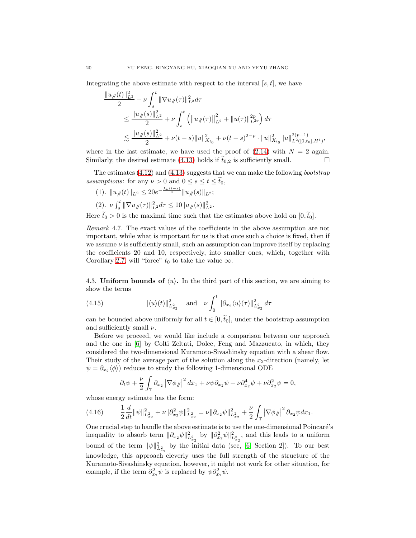Integrating the above estimate with respect to the interval  $[s, t]$ , we have

$$
\frac{\|u_{\#}(t)\|_{L^{2}}^{2}}{2} + \nu \int_{s}^{t} \|\nabla u_{\#}(\tau)\|_{L^{2}}^{2} d\tau
$$
\n
$$
\leq \frac{\|u_{\#}(s)\|_{L^{2}}^{2}}{2} + \nu \int_{s}^{t} \left( \|u_{\#}(\tau)\|_{L^{2}}^{2} + \|u(\tau)\|_{L^{2p}}^{2p} \right) d\tau
$$
\n
$$
\lesssim \frac{\|u_{\#}(s)\|_{L^{2}}^{2}}{2} + \nu(t-s) \|u\|_{X_{t_{0}}}^{2} + \nu(t-s)^{2-p} \cdot \|u\|_{X_{t_{0}}}^{2} \|u\|_{L^{2}([0,t_{0}],H^{1})}^{2(p-1)},
$$

where in the last estimate, we have used the proof of  $(2.14)$  with  $N = 2$  again. Similarly, the desired estimate [\(4.13\)](#page-18-3) holds if  $\tilde{t}_{0,2}$  is sufficiently small.

The estimates  $(4.12)$  and  $(4.13)$  suggests that we can make the following *bootstrap* assumptions: for any  $\nu > 0$  and  $0 \leq s \leq t \leq t_0$ ,

$$
(1). \ \ \|u_{\#}(t)\|_{L^{2}} \leq 20e^{-\frac{\lambda_{\nu}(t-s)}{4}}\|u_{\#}(s)\|_{L^{2}};
$$
  

$$
(2). \ \nu \int_{s}^{t} \|\nabla u_{\#}(\tau)\|_{L^{2}}^{2} d\tau \leq 10\|u_{\#}(s)\|_{L^{2}}^{2}.
$$

Here  $\tilde{t}_0 > 0$  is the maximal time such that the estimates above hold on  $[0, \tilde{t}_0]$ .

Remark 4.7. The exact values of the coefficients in the above assumption are not important, while what is important for us is that once such a choice is fixed, then if we assume  $\nu$  is sufficiently small, such an assumption can improve itself by replacing the coefficients 20 and 10, respectively, into smaller ones, which, together with Corollary [2.7,](#page-8-1) will "force"  $t_0$  to take the value  $\infty$ .

<span id="page-19-0"></span>4.3. Uniform bounds of  $\langle u \rangle$ . In the third part of this section, we are aiming to show the terms

<span id="page-19-1"></span>(4.15) 
$$
\|\langle u \rangle(t)\|_{L^2_{x_2}}^2 \quad \text{and} \quad \nu \int_0^t \|\partial_{x_2} \langle u \rangle(\tau)\|_{L^2_{x_2}}^2 d\tau
$$

can be bounded above uniformly for all  $t \in [0, \tilde{t}_0]$ , under the bootstrap assumption and sufficiently small  $\nu$ .

Before we proceed, we would like include a comparison between our approach and the one in [\[6\]](#page-34-16) by Colti Zeltati, Dolce, Feng and Mazzucato, in which, they considered the two-dimensional Kuramoto-Sivashinsky equation with a shear flow. Their study of the average part of the solution along the  $x_2$ -direction (namely, let  $\psi = \partial_{x_2} \langle \phi \rangle$  reduces to study the following 1-dimensional ODE

$$
\partial_t \psi + \frac{\nu}{2} \int_{\mathbb{T}} \partial_{x_2} |\nabla \phi_{\mathcal{J}}|^2 dx_1 + \nu \psi \partial_{x_2} \psi + \nu \partial_{x_2}^4 \psi + \nu \partial_{x_2}^2 \psi = 0,
$$

whose energy estimate has the form:

$$
(4.16) \qquad \frac{1}{2}\frac{d}{dt}\|\psi\|_{L^2_{x_2}}^2+\nu\|\partial_{x_2}^2\psi\|_{L^2_{x_2}}^2=\nu\|\partial_{x_2}\psi\|_{L^2_{x_2}}^2+\frac{\nu}{2}\int_{\mathbb{T}}\left|\nabla\phi_{\mathscr{H}}\right|^2\partial_{x_2}\psi dx_1.
$$

One crucial step to handle the above estimate is to use the one-dimensional Poincaré's inequality to absorb term  $\|\partial_{x_2}\psi\|_{L^2_{x_2}}^2$  by  $\|\partial_{x_2}^2 \psi\|_{L^2_{x_2}}^2$ , and this leads to a uniform bound of the term  $\|\psi\|_{L^2_{x_2}}^2$  by the initial data (see, [\[6,](#page-34-16) Section 2]). To our best knowledge, this approach cleverly uses the full strength of the structure of the Kuramoto-Sivashinsky equation, however, it might not work for other situation, for example, if the term  $\partial_{x_2}^2 \psi$  is replaced by  $\psi \partial_{x_2}^2 \psi$ .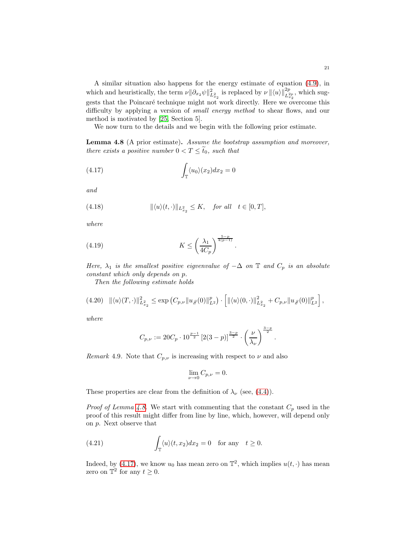A similar situation also happens for the energy estimate of equation [\(4.9\)](#page-17-2), in which and heuristically, the term  $\nu || \partial_{x_2} \psi ||_{L^2_{x_2}}^2$  is replaced by  $\nu || \langle u \rangle ||_{L^{2p}_{x_2}}^{2p}$ , which suggests that the Poincaré technique might not work directly. Here we overcome this difficulty by applying a version of small energy method to shear flows, and our method is motivated by [\[25,](#page-35-5) Section 5].

We now turn to the details and we begin with the following prior estimate.

<span id="page-20-0"></span>Lemma 4.8 (A prior estimate). Assume the bootstrap assumption and moreover, there exists a positive number  $0 < T \leq \tilde{t}_0$ , such that

<span id="page-20-1"></span>(4.17) 
$$
\int_{\mathbb{T}} \langle u_0 \rangle (x_2) dx_2 = 0
$$

and

<span id="page-20-2"></span>(4.18) 
$$
\|\langle u \rangle (t, \cdot) \|_{L^2_{x_2}} \leq K, \quad \text{for all} \quad t \in [0, T],
$$

where

$$
(4.19)\t\t\t K \le \left(\frac{\lambda_1}{4C_p}\right)^{\frac{5-p}{4(p-1)}}
$$

Here,  $\lambda_1$  is the smallest positive eigvenvalue of  $-\Delta$  on  $\mathbb T$  and  $C_p$  is an absolute constant which only depends on p.

<span id="page-20-3"></span>.

Then the following estimate holds

$$
(4.20) \quad \| \langle u \rangle(T,\cdot) \|_{L^2_{x_2}}^2 \leq \exp \left( C_{p,\nu} \| u_{\#}(0) \|_{L^2}^p \right) \cdot \left[ \| \langle u \rangle(0,\cdot) \|_{L^2_{x_2}}^2 + C_{p,\nu} \| u_{\#}(0) \|_{L^2}^p \right],
$$

where

$$
C_{p,\nu} := 20C_p \cdot 10^{\frac{p-1}{2}} \left[ 2(3-p) \right]^{\frac{3-p}{2}} \cdot \left( \frac{\nu}{\lambda_{\nu}} \right)^{\frac{3-p}{2}}.
$$

<span id="page-20-4"></span>*Remark* 4.9. Note that  $C_{p,\nu}$  is increasing with respect to  $\nu$  and also

$$
\lim_{\nu \to 0} C_{p,\nu} = 0.
$$

These properties are clear from the definition of  $\lambda_{\nu}$  (see, [\(4.4\)](#page-16-7)).

*Proof of Lemma [4.8.](#page-20-0)* We start with commenting that the constant  $C_p$  used in the proof of this result might differ from line by line, which, however, will depend only on p. Next observe that

(4.21) 
$$
\int_{\mathbb{T}} \langle u \rangle (t, x_2) dx_2 = 0 \text{ for any } t \ge 0.
$$

Indeed, by [\(4.17\)](#page-20-1), we know  $u_0$  has mean zero on  $\mathbb{T}^2$ , which implies  $u(t, \cdot)$  has mean zero on  $\mathbb{T}^2$  for any  $t \geq 0$ .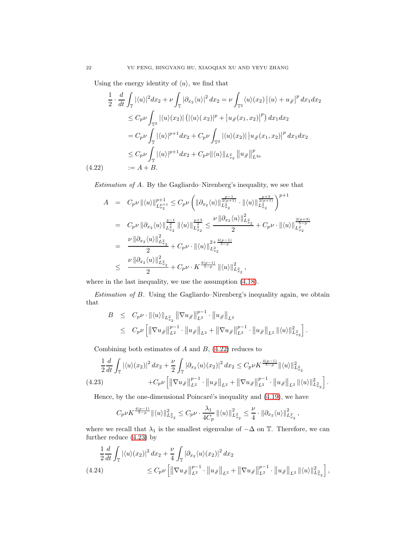Using the energy identity of  $\langle u \rangle$ , we find that

<span id="page-21-0"></span>
$$
\frac{1}{2} \cdot \frac{d}{dt} \int_{\mathbb{T}} |\langle u \rangle|^2 dx_2 + \nu \int_{\mathbb{T}} |\partial_{x_2} \langle u \rangle|^2 dx_2 = \nu \int_{\mathbb{T}^2} \langle u \rangle (x_2) | \langle u \rangle + u_{\#} |^p dx_1 dx_2
$$
  
\n
$$
\leq C_p \nu \int_{\mathbb{T}^2} |\langle u \rangle (x_2)| (|\langle u \rangle (x_2)|^p + |u_{\#}(x_1, x_2)|^p) dx_1 dx_2
$$
  
\n
$$
= C_p \nu \int_{\mathbb{T}} |\langle u \rangle|^{p+1} dx_2 + C_p \nu \int_{\mathbb{T}^2} |\langle u \rangle (x_2)| |u_{\#}(x_1, x_2)|^p dx_1 dx_2
$$
  
\n
$$
\leq C_p \nu \int_{\mathbb{T}} |\langle u \rangle|^{p+1} dx_2 + C_p \nu ||\langle u \rangle||_{L^2_{x_2}} ||u_{\#}||^p_{L^{2p}}
$$
  
\n(4.22) := A + B.

Estimation of A. By the Gagliardo–Nirenberg's inequality, we see that

$$
A = C_p \nu ||\langle u \rangle||_{L_{x_2}^{p+1}}^{p+1} \leq C_p \nu \left( ||\partial_{x_2} \langle u \rangle||_{L_{x_2}^{2p+1}}^{\frac{p-1}{2(p+1)}} \cdot ||\langle u \rangle||_{L_{x_2}^{2p+1}}^{\frac{p+3}{2(p+1)}} \right)^{p+1}
$$
  
\n
$$
= C_p \nu ||\partial_{x_2} \langle u \rangle||_{L_{x_2}^{2}}^{\frac{p-1}{2}} ||\langle u \rangle||_{L_{x_2}^{2}}^{\frac{p+3}{2}} \leq \frac{\nu ||\partial_{x_2} \langle u \rangle||_{L_{x_2}^{2}}^2}{2} + C_p \nu \cdot ||\langle u \rangle||_{L_{x_2}^{2p+1}}^{\frac{2(p+3)}{5-p}}
$$
  
\n
$$
\leq \frac{\nu ||\partial_{x_2} \langle u \rangle||_{L_{x_2}^{2}}^2}{2} + C_p \nu \cdot ||\langle u \rangle||_{L_{x_2}^{2}}^{\frac{2+4(p-1)}{5-p}} \| \langle u \rangle||_{L_{x_2}^{2}}^2,
$$

where in the last inequality, we use the assumption [\(4.18\)](#page-20-2).

Estimation of B. Using the Gagliardo–Nirenberg's inequality again, we obtain that

$$
B \leq C_p \nu \cdot \|\langle u \rangle\|_{L_{x_2}^2} \|\nabla u_{\#}\|_{L^2}^{p-1} \cdot \|u_{\#}\|_{L^2}
$$
  
 
$$
\leq C_p \nu \left[ \|\nabla u_{\#}\|_{L^2}^{p-1} \cdot \|u_{\#}\|_{L^2} + \|\nabla u_{\#}\|_{L^2}^{p-1} \cdot \|u_{\#}\|_{L^2} \, \|\langle u \rangle\|_{L_{x_2}^2}^2 \right].
$$

Combining both estimates of  $A$  and  $B$ ,  $(4.22)$  reduces to

<span id="page-21-1"></span>
$$
\frac{1}{2}\frac{d}{dt}\int_{\mathbb{T}}\left|\langle u\rangle(x_2)\right|^2dx_2+\frac{\nu}{2}\int_{\mathbb{T}}\left|\partial_{x_2}\langle u\rangle(x_2)\right|^2dx_2 \leq C_p\nu K^{\frac{4(p-1)}{5-p}}\|\langle u\rangle\|^2_{L^2_{x_2}}(4.23) \qquad \qquad +C_p\nu\left[\left\|\nabla u_{\#}\right\|_{L^2}^{p-1}\cdot\left\|u_{\#}\right\|_{L^2}+\left\|\nabla u_{\#}\right\|_{L^2}^{p-1}\cdot\left\|u_{\#}\right\|_{L^2}\left\|\langle u\rangle\right\|_{L^2_{x_2}}^2\right].
$$

Hence, by the one-dimensional Poincaré's inequality and  $(4.19)$ , we have

$$
C_p \nu K^{\frac{4(p-1)}{5-p}} \|\langle u \rangle\|_{L^2_{x_2}}^2 \le C_p \nu \cdot \frac{\lambda_1}{4C_p} \|\langle u \rangle\|_{L^2_{x_2}}^2 \le \frac{\nu}{4} \cdot \|\partial_{x_2} \langle u \rangle\|_{L^2_{x_2}}^2,
$$

where we recall that  $\lambda_1$  is the smallest eigenvalue of  $-\Delta$  on T. Therefore, we can further reduce [\(4.23\)](#page-21-1) by

<span id="page-21-2"></span>
$$
\frac{1}{2}\frac{d}{dt}\int_{\mathbb{T}}|\langle u\rangle(x_2)|^2\,dx_2 + \frac{\nu}{4}\int_{\mathbb{T}}|\partial_{x_2}\langle u\rangle(x_2)|^2\,dx_2
$$
\n
$$
\leq C_p\nu\left[\left\|\nabla u_{\mathcal{H}}\right\|_{L^2}^{p-1}\cdot\left\|u_{\mathcal{H}}\right\|_{L^2} + \left\|\nabla u_{\mathcal{H}}\right\|_{L^2}^{p-1}\cdot\left\|u_{\mathcal{H}}\right\|_{L^2}\left\|\langle u\rangle\right\|_{L^2_{x_2}^2\right],
$$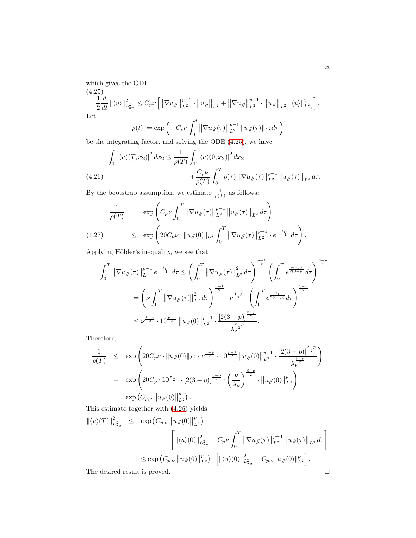<span id="page-22-0"></span>which gives the ODE  
\n(4.25)  
\n
$$
\frac{1}{2} \frac{d}{dt} ||\langle u \rangle||_{L_{x_2}^2}^2 \leq C_p \nu \left[ ||\nabla u_{\#}||_{L^2}^{p-1} \cdot ||u_{\#}||_{L^2} + ||\nabla u_{\#}||_{L^2}^{p-1} \cdot ||u_{\#}||_{L^2} ||\langle u \rangle||_{L_{x_2}^2}^2 \right].
$$
\nLet

 $\rho(t) := \exp \left(-C_p \nu\right)$ 0  $\|\nabla u_{\#}(\tau)\|_{L^2}^{p-1} \|u_{\#}(\tau)\|_{L^2} d\tau\bigg)$ 

be the integrating factor, and solving the ODE [\(4.25\)](#page-22-0), we have

<span id="page-22-1"></span>
$$
\int_{\mathbb{T}} |\langle u \rangle (T, x_2)|^2 dx_2 \le \frac{1}{\rho(T)} \int_{\mathbb{T}} |\langle u \rangle (0, x_2)|^2 dx_2 \n+ \frac{C_p \nu}{\rho(T)} \int_0^T \rho(\tau) \left\| \nabla u_{\#}(\tau) \right\|_{L^2}^{p-1} \left\| u_{\#}(\tau) \right\|_{L^2} d\tau.
$$
\n(4.26)

By the bootstrap assumption, we estimate  $\frac{1}{\rho(T)}$  as follows:

<span id="page-22-2"></span>
$$
\frac{1}{\rho(T)} = \exp\left(C_p \nu \int_0^T \|\nabla u_{\#}(\tau)\|_{L^2}^{p-1} \|u_{\#}(\tau)\|_{L^2} d\tau\right)
$$
\n(4.27) 
$$
\leq \exp\left(20C_p \nu \cdot \|u_{\#}(0)\|_{L^2} \int_0^T \|\nabla u_{\#}(\tau)\|_{L^2}^{p-1} \cdot e^{-\frac{\lambda_{\nu}\tau}{4}} d\tau\right).
$$

Applying Hölder's inequality, we see that

$$
\int_{0}^{T} \left\| \nabla u_{\#}(\tau) \right\|_{L^{2}}^{p-1} e^{-\frac{\lambda \nu^{\tau}}{4}} d\tau \leq \left( \int_{0}^{T} \left\| \nabla u_{\#}(\tau) \right\|_{L^{2}}^{2} d\tau \right)^{\frac{p-1}{2}} \left( \int_{0}^{T} e^{\frac{-\lambda \nu^{\tau}}{2(3-p)}} d\tau \right)^{\frac{3-p}{2}}
$$
  

$$
= \left( \nu \int_{0}^{T} \left\| \nabla u_{\#}(\tau) \right\|_{L^{2}}^{2} d\tau \right)^{\frac{p-1}{2}} \cdot \nu^{\frac{1-p}{2}} \cdot \left( \int_{0}^{T} e^{\frac{-\lambda \nu^{\tau}}{2(3-p)}} d\tau \right)^{\frac{3-p}{2}}
$$
  

$$
\leq \nu^{\frac{1-p}{2}} \cdot 10^{\frac{p-1}{2}} \left\| u_{\#}(0) \right\|_{L^{2}}^{p-1} \cdot \frac{\left[ 2(3-p) \right]^{\frac{3-p}{2}}}{\lambda^{\frac{3-p}{2}}}.
$$

Therefore,

$$
\frac{1}{\rho(T)} \leq \exp\left(20C_p\nu \cdot \|u\#(0)\|_{L^2} \cdot \nu^{\frac{1-p}{2}} \cdot 10^{\frac{p-1}{2}} \|u\#(0)\|_{L^2}^{p-1} \cdot \frac{\left[2(3-p)\right]^{\frac{3-p}{2}}}{\lambda_{\nu}^{\frac{3-p}{2}}}\right)
$$
\n
$$
= \exp\left(20C_p \cdot 10^{\frac{p-1}{2}} \cdot \left[2(3-p)\right]^{\frac{3-p}{2}} \cdot \left(\frac{\nu}{\lambda_{\nu}}\right)^{\frac{3-p}{2}} \cdot \|u\#(0)\|_{L^2}^p\right)
$$
\n
$$
= \exp\left(C_{p,\nu} \|u\#(0)\|_{L^2}^p\right).
$$

This estimate together with [\(4.26\)](#page-22-1) yields

$$
\begin{array}{lcl} \|\langle u \rangle (T)\|_{L_{x_2}^2}^2 & \leq & \exp\left(C_{p,\nu}\left\|u_\#(0)\right\|_{L^2}^p\right) \\ & \cdot \left[\|\langle u \rangle (0)\|_{L_{x_2}^2}^2 + C_p\nu \int_0^T \left\|\nabla u_\#(\tau)\right\|_{L^2}^{p-1} \left\|u_\#(\tau)\right\|_{L^2} d\tau\right] \\ & \leq & \exp\left(C_{p,\nu}\left\|u_\#(0)\right\|_{L^2}^p\right) \cdot \left[\|\langle u \rangle (0)\|_{L_{x_2}^2}^2 + C_{p,\nu} \|u_\#(0)\|_{L^2}^p\right]. \end{array}
$$

The desired result is proved.  $\hfill \square$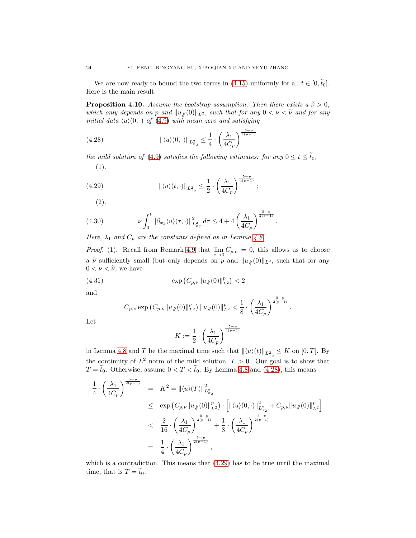We are now ready to bound the two terms in [\(4.15\)](#page-19-1) uniformly for all  $t \in [0, \tilde{t}_0]$ . Here is the main result.

<span id="page-23-4"></span>**Proposition 4.10.** Assume the bootstrap assumption. Then there exists a  $\tilde{\nu} > 0$ , which only depends on p and  $||u_{\#}(0)||_{L^2}$ , such that for any  $0 < \nu < \tilde{\nu}$  and for any initial data  $\langle u \rangle(0, \cdot)$  of [\(4.9\)](#page-17-2) with mean zero and satisfying

<span id="page-23-0"></span>(4.28) 
$$
\|\langle u \rangle(0,\cdot)\|_{L_{x_2}^2} \leq \frac{1}{4} \cdot \left(\frac{\lambda_1}{4C_p}\right)^{\frac{5-p}{4(p-1)}}
$$

the mild solution of [\(4.9\)](#page-17-2) satisfies the following estimates: for any  $0 \le t \le \tilde{t}_0$ , (1).

(4.29) 
$$
\|\langle u \rangle (t, \cdot)\|_{L_{x_2}^2} \leq \frac{1}{2} \cdot \left(\frac{\lambda_1}{4C_p}\right)^{\frac{5-p}{4(p-1)}};
$$

<span id="page-23-2"></span><span id="page-23-1"></span>(2).

(4.30) 
$$
\nu \int_0^t \|\partial_{x_2}\langle u\rangle(\tau,\cdot)\|_{L^2_{x_2}}^2 d\tau \le 4 + 4 \left(\frac{\lambda_1}{4C_p}\right)^{\frac{5-p}{2(p-1)}}.
$$

Here,  $\lambda_1$  and  $C_p$  are the constants defined as in Lemma [4.8.](#page-20-0)

*Proof.* (1). Recall from Remark [4.9](#page-20-4) that  $\lim_{\nu \to 0} C_{p,\nu} = 0$ , this allows us to choose a  $\tilde{\nu}$  sufficiently small (but only depends on p and  $||u_{\#}(0)||_{L^2}$ , such that for any  $0 < \nu < \tilde{\nu}$ , we have

(4.31) 
$$
\exp\left(C_{p,\nu}||u_{\#}(0)||_{L^2}^p\right) < 2
$$

and

$$
C_{p,\nu} \exp\left(C_{p,\nu} \|u_{\#}(0)\|_{L^2}^p\right) \|u_{\#}(0)\|_{L^2}^p < \frac{1}{8} \cdot \left(\frac{\lambda_1}{4C_p}\right)^{\frac{5-p}{2(p-1)}}.
$$

Let

<span id="page-23-3"></span>
$$
K := \frac{1}{2} \cdot \left(\frac{\lambda_1}{4C_p}\right)^{\frac{5-p}{4(p-1)}}
$$

in Lemma [4.8](#page-20-0) and T be the maximal time such that  $\| \langle u \rangle(t) \|_{L^2_{x_2}} \leq K$  on [0, T]. By the continuity of  $L^2$  norm of the mild solution,  $T > 0$ . Our goal is to show that  $T = \tilde{t}_0$ . Otherwise, assume  $0 < T < \tilde{t}_0$ . By Lemma [4.8](#page-20-0) and [\(4.28\)](#page-23-0), this means

$$
\frac{1}{4} \cdot \left(\frac{\lambda_1}{4C_p}\right)^{\frac{5-p}{2(p-1)}} = K^2 = \|\langle u \rangle(T)\|_{L_{x_2}^2}^2
$$
\n
$$
\leq \exp\left(C_{p,\nu} \|u_{\#}(0)\|_{L^2}^p\right) \cdot \left[\|\langle u \rangle(0,\cdot)\|_{L_{x_2}^2}^2 + C_{p,\nu} \|u_{\#}(0)\|_{L^2}^p\right]
$$
\n
$$
< \frac{2}{16} \cdot \left(\frac{\lambda_1}{4C_p}\right)^{\frac{5-p}{2(p-1)}} + \frac{1}{8} \cdot \left(\frac{\lambda_1}{4C_p}\right)^{\frac{5-p}{2(p-1)}}
$$
\n
$$
= \frac{1}{4} \cdot \left(\frac{\lambda_1}{4C_p}\right)^{\frac{5-p}{2(p-1)}},
$$

which is a contradiction. This means that  $(4.29)$  has to be true until the maximal time, that is  $T = \tilde{t}_0$ .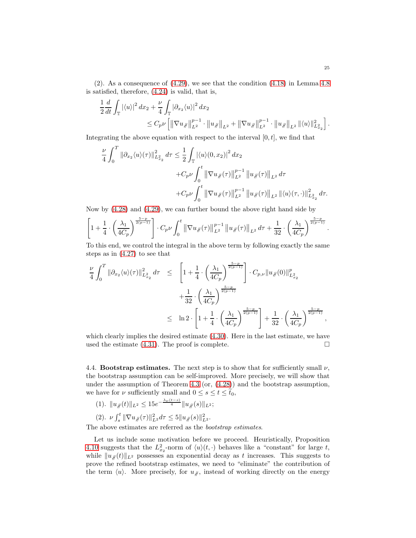$(2)$ . As a consequence of  $(4.29)$ , we see that the condition  $(4.18)$  in Lemma [4.8](#page-20-0) is satisfied, therefore, [\(4.24\)](#page-21-2) is valid, that is,

$$
\frac{1}{2}\frac{d}{dt}\int_{\mathbb{T}}|\langle u\rangle|^{2} dx_{2} + \frac{\nu}{4}\int_{\mathbb{T}}|\partial_{x_{2}}\langle u\rangle|^{2} dx_{2} \n\leq C_{p}\nu\left[\left\|\nabla u_{\#}\right\|_{L^{2}}^{p-1} \cdot \left\|u_{\#}\right\|_{L^{2}} + \left\|\nabla u_{\#}\right\|_{L^{2}}^{p-1} \cdot \left\|u_{\#}\right\|_{L^{2}}\left\| \langle u\rangle\right\|_{L^{2}_{x_{2}}}^{2}\right].
$$

Integrating the above equation with respect to the interval  $[0, t]$ , we find that

$$
\frac{\nu}{4} \int_0^T \|\partial_{x_2} \langle u \rangle(\tau) \|_{L^2_{x_2}}^2 d\tau \le \frac{1}{2} \int_{\mathbb{T}} |\langle u \rangle(0, x_2)|^2 dx_2 \n+ C_p \nu \int_0^t \|\nabla u_{\#}(\tau) \|_{L^2}^{p-1} \|u_{\#}(\tau) \|_{L^2} d\tau \n+ C_p \nu \int_0^t \|\nabla u_{\#}(\tau) \|_{L^2}^{p-1} \|u_{\#}(\tau) \|_{L^2} \| \langle u \rangle(\tau, \cdot) \|_{L^2_{x_2}}^2 d\tau.
$$

Now by [\(4.28\)](#page-23-0) and [\(4.29\)](#page-23-1), we can further bound the above right hand side by

$$
\left[1+\frac{1}{4}\cdot\left(\frac{\lambda_1}{4C_p}\right)^{\frac{5-p}{2(p-1)}}\right]\cdot C_p\nu\int_0^t \|\nabla u_{\#}(\tau)\|_{L^2}^{p-1} \|u_{\#}(\tau)\|_{L^2} d\tau + \frac{1}{32}\cdot\left(\frac{\lambda_1}{4C_p}\right)^{\frac{5-p}{2(p-1)}}.
$$

To this end, we control the integral in the above term by following exactly the same steps as in [\(4.27\)](#page-22-2) to see that

$$
\frac{\nu}{4} \int_0^T \|\partial_{x_2} \langle u \rangle(\tau)\|_{L^2_{x_2}}^2 d\tau \leq \left[1 + \frac{1}{4} \cdot \left(\frac{\lambda_1}{4C_p}\right)^{\frac{5-p}{2(p-1)}}\right] \cdot C_{p,\nu} \|u_{\#}(0)\|_{L^2_{x_2}}^p \n+ \frac{1}{32} \cdot \left(\frac{\lambda_1}{4C_p}\right)^{\frac{5-p}{2(p-1)}} \n\leq \ln 2 \cdot \left[1 + \frac{1}{4} \cdot \left(\frac{\lambda_1}{4C_p}\right)^{\frac{5-p}{2(p-1)}}\right] + \frac{1}{32} \cdot \left(\frac{\lambda_1}{4C_p}\right)^{\frac{5-p}{2(p-1)}},
$$

which clearly implies the desired estimate [\(4.30\)](#page-23-2). Here in the last estimate, we have used the estimate  $(4.31)$ . The proof is complete.

<span id="page-24-0"></span>4.4. Bootstrap estimates. The next step is to show that for sufficiently small  $\nu$ , the bootstrap assumption can be self-improved. More precisely, we will show that under the assumption of Theorem [4.3](#page-16-1) (or, [\(4.28\)](#page-23-0)) and the bootstrap assumption, we have for  $\nu$  sufficiently small and  $0 \leq s \leq t \leq \tilde{t}_0$ ,

- (1).  $||u_{\mathscr{H}}(t)||_{L^2} \leq 15e^{-\frac{\lambda_{\nu}(t-s)}{4}}||u_{\mathscr{H}}(s)||_{L^2};$
- (2).  $\nu \int_{s}^{t} \|\nabla u_{\#}(\tau)\|_{L^{2}}^{2} d\tau \leq 5 \|u_{\#}(s)\|_{L^{2}}^{2}.$

The above estimates are referred as the bootstrap estimates.

Let us include some motivation before we proceed. Heuristically, Proposition [4.10](#page-23-4) suggests that the  $L_{x_2}^2$ -norm of  $\langle u \rangle (t, \cdot)$  behaves like a "constant" for large t, while  $||u_{\mathcal{H}}(t)||_{L^2}$  possesses an exponential decay as t increases. This suggests to prove the refined bootstrap estimates, we need to "eliminate" the contribution of the term  $\langle u \rangle$ . More precisely, for  $u/\mu$ , instead of working directly on the energy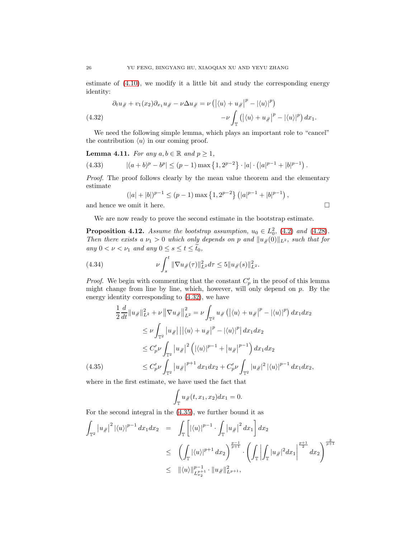estimate of [\(4.10\)](#page-17-3), we modify it a little bit and study the corresponding energy identity:

<span id="page-25-0"></span>(4.32) 
$$
\partial_t u_{\#} + v_1(x_2) \partial_{x_1} u_{\#} - \nu \Delta u_{\#} = \nu \left( \left| \langle u \rangle + u_{\#} \right|^p - \left| \langle u \rangle \right|^p \right) - \nu \int_{\mathbb{T}} \left( \left| \langle u \rangle + u_{\#} \right|^p - \left| \langle u \rangle \right|^p \right) dx_1.
$$

We need the following simple lemma, which plays an important role to "cancel" the contribution  $\langle u \rangle$  in our coming proof.

<span id="page-25-4"></span>**Lemma 4.11.** For any 
$$
a, b \in \mathbb{R}
$$
 and  $p \ge 1$ ,

(4.33) 
$$
|(a+b)^p - b^p| \le (p-1) \max\left\{1, 2^{p-2}\right\} \cdot |a| \cdot \left(|a|^{p-1} + |b|^{p-1}\right).
$$

Proof. The proof follows clearly by the mean value theorem and the elementary estimate

$$
(|a|+|b|)^{p-1} \le (p-1) \max\left\{1, 2^{p-2}\right\} (|a|^{p-1}+|b|^{p-1}),
$$
  
and hence we omit it here.

We are now ready to prove the second estimate in the bootstrap estimate.

<span id="page-25-3"></span>**Proposition 4.12.** Assume the bootstrap assumption,  $u_0 \in L_0^2$ , [\(4.2\)](#page-16-8) and [\(4.28\)](#page-23-0). Then there exists a  $\nu_1 > 0$  which only depends on p and  $||u_{\#}(0)||_{L^2}$ , such that for any  $0 < \nu < \nu_1$  and any  $0 \le s \le t \le \tilde{t}_0$ ,

<span id="page-25-2"></span>(4.34) 
$$
\nu \int_s^t \|\nabla u_{\#}(\tau)\|_{L^2}^2 d\tau \leq 5 \|u_{\#}(s)\|_{L^2}^2.
$$

*Proof.* We begin with commenting that the constant  $C_p'$  in the proof of this lemma might change from line by line, which, however, will only depend on  $p$ . By the energy identity corresponding to [\(4.32\)](#page-25-0), we have

<span id="page-25-1"></span>
$$
\frac{1}{2} \frac{d}{dt} \|u_{\mathcal{J}}\|_{L^{2}}^{2} + \nu \|\nabla u_{\mathcal{J}}\|_{L^{2}}^{2} = \nu \int_{\mathbb{T}^{2}} u_{\mathcal{J}} \left( |\langle u \rangle + u_{\mathcal{J}}|^{p} - |\langle u \rangle|^{p} \right) dx_{1} dx_{2}
$$
\n
$$
\leq \nu \int_{\mathbb{T}^{2}} |u_{\mathcal{J}}| ||\langle u \rangle + u_{\mathcal{J}}|^{p} - |\langle u \rangle|^{p} | dx_{1} dx_{2}
$$
\n
$$
\leq C'_{p} \nu \int_{\mathbb{T}^{2}} |u_{\mathcal{J}}|^{2} \left( |\langle u \rangle|^{p-1} + |u_{\mathcal{J}}|^{p-1} \right) dx_{1} dx_{2}
$$
\n(4.35)\n
$$
\leq C'_{p} \nu \int_{\mathbb{T}^{2}} |u_{\mathcal{J}}|^{p+1} dx_{1} dx_{2} + C'_{p} \nu \int_{\mathbb{T}^{2}} |u_{\mathcal{J}}|^{2} |\langle u \rangle|^{p-1} dx_{1} dx_{2},
$$

where in the first estimate, we have used the fact that

$$
\int_{\mathbb{T}} u_{\mathcal{J}}(t, x_1, x_2) dx_1 = 0.
$$

For the second integral in the [\(4.35\)](#page-25-1), we further bound it as

$$
\int_{\mathbb{T}^2} |u_{\mathcal{J}}|^2 |\langle u \rangle|^{p-1} dx_1 dx_2 = \int_{\mathbb{T}} \left[ |\langle u \rangle|^{p-1} \cdot \int_{\mathbb{T}} |u_{\mathcal{J}}|^2 dx_1 \right] dx_2
$$
\n
$$
\leq \left( \int_{\mathbb{T}} |\langle u \rangle|^{p+1} dx_2 \right)^{\frac{p-1}{p+1}} \cdot \left( \int_{\mathbb{T}} \left| \int_{\mathbb{T}} |u_{\mathcal{J}}|^2 dx_1 \right|^{\frac{p+1}{2}} dx_2 \right)^{\frac{2}{p+1}}
$$
\n
$$
\leq ||\langle u \rangle||_{L_{x_2}^{p+1}}^{p-1} \cdot ||u_{\mathcal{J}}||_{L_{p+1}}^2,
$$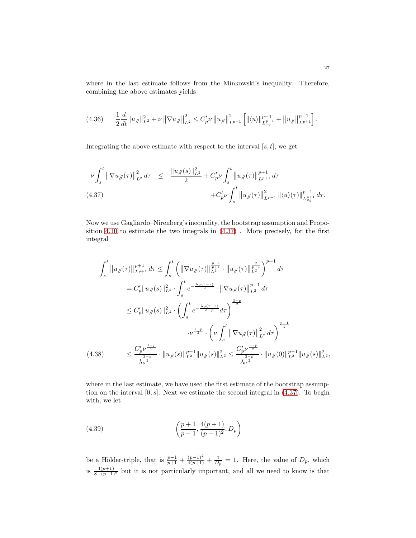where in the last estimate follows from the Minkowski's inequality. Therefore, combining the above estimates yields

<span id="page-26-3"></span>
$$
(4.36) \qquad \frac{1}{2}\frac{d}{dt}\|u_{\mathcal{J}}\|_{L^2}^2 + \nu \left\|\nabla u_{\mathcal{J}}\right\|_{L^2}^2 \leq C_p'\nu \left\|u_{\mathcal{J}}\right\|_{L^{p+1}}^2 \left[\|\langle u \rangle\|_{L^{p+1}_{x_2}}^{p-1} + \left\|u_{\mathcal{J}}\right\|_{L^{p+1}}^{p-1}\right].
$$

Integrating the above estimate with respect to the interval  $[s, t]$ , we get

<span id="page-26-0"></span>
$$
\nu \int_{s}^{t} \left\| \nabla u_{\#}(\tau) \right\|_{L^{2}}^{2} d\tau \leq \frac{\| u_{\#}(s) \|_{L^{2}}^{2}}{2} + C'_{p} \nu \int_{s}^{t} \left\| u_{\#}(\tau) \right\|_{L^{p+1}}^{p+1} d\tau + C'_{p} \nu \int_{s}^{t} \left\| u_{\#}(\tau) \right\|_{L^{p+1}}^{2} \left\| \langle u \rangle(\tau) \right\|_{L^{p+1}}^{p-1} d\tau.
$$
\n(4.37)

Now we use Gagliardo–Nirenberg's inequality, the bootstrap assumption and Proposition [4.10](#page-23-4) to estimate the two integrals in [\(4.37\)](#page-26-0) . More precisely, for the first integral

<span id="page-26-2"></span>
$$
\int_{s}^{t} \|u_{\#}(\tau)\|_{L^{p+1}}^{p+1} d\tau \leq \int_{s}^{t} \left( \|\nabla u_{\#}(\tau)\|_{L^{2}}^{\frac{p-1}{p+1}} \cdot \|u_{\#}(\tau)\|_{L^{2}}^{\frac{2}{p+1}} \right)^{p+1} d\tau
$$
\n
$$
= C'_{p} \|u_{\#}(s)\|_{L^{2}}^{2} \cdot \int_{s}^{t} e^{-\frac{\lambda_{\nu}(\tau-s)}{2}} \cdot \|\nabla u_{\#}(\tau)\|_{L^{2}}^{p-1} d\tau
$$
\n
$$
\leq C'_{p} \|u_{\#}(s)\|_{L^{2}}^{2} \cdot \left( \int_{s}^{t} e^{-\frac{\lambda_{\nu}(\tau-s)}{3-p}} d\tau \right)^{\frac{3-p}{2}}
$$
\n
$$
\cdot \nu^{\frac{1-p}{2}} \cdot \left( \nu \int_{s}^{t} \|\nabla u_{\#}(\tau)\|_{L^{2}}^{2} d\tau \right)^{\frac{p-1}{2}}
$$
\n(4.38)\n
$$
\leq \frac{C'_{p} \nu^{\frac{1-p}{2}}}{\lambda_{\nu}^{\frac{3-p}{2}}} \cdot \|u_{\#}(s)\|_{L^{2}}^{p-1} \|u_{\#}(s)\|_{L^{2}}^{2} \leq \frac{C'_{p} \nu^{\frac{1-p}{2}}}{\lambda_{\nu}^{\frac{3-p}{2}}} \cdot \|u_{\#}(0)\|_{L^{2}}^{p-1} \|u_{\#}(s)\|_{L^{2}}^{2},
$$

where in the last estimate, we have used the first estimate of the bootstrap assumption on the interval  $[0, s]$ . Next we estimate the second integral in  $(4.37)$ . To begin with, we let

<span id="page-26-1"></span>(4.39) 
$$
\left(\frac{p+1}{p-1}, \frac{4(p+1)}{(p-1)^2}, D_p\right)
$$

be a Hölder-triple, that is  $\frac{p-1}{p+1} + \frac{(p-1)^2}{4(p+1)} + \frac{1}{D_p} = 1$ . Here, the value of  $D_p$ , which is  $\frac{4(p+1)}{8-(p-1)^2}$  but it is not particularly important, and all we need to know is that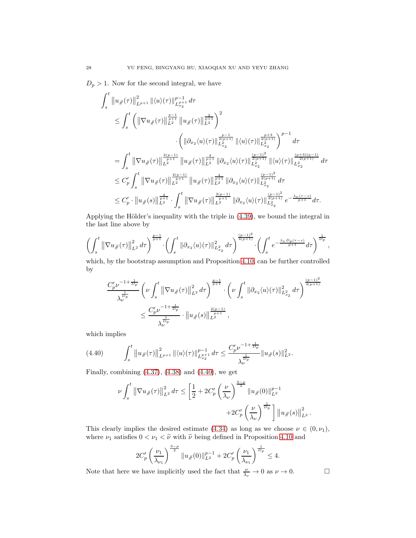$D_p > 1$ . Now for the second integral, we have

$$
\begin{split} \int_{s}^{t} \left\|u_{\#}(\tau)\right\|_{L^{p+1}}^{2} \left\|\langle u \rangle(\tau)\right\|_{L^{p+1}_{x_2}}^{p-1} d\tau \\ & \leq \int_{s}^{t} \left(\left\|\nabla u_{\#}(\tau)\right\|_{L^{2}}^{\frac{p-1}{p+1}} \left\|u_{\#}(\tau)\right\|_{L^{2}}^{\frac{2}{p+1}}\right)^{2} \\ & \qquad \cdot \left(\left\|\partial_{x_{2}}\langle u \rangle(\tau)\right\|_{L^{2}_{x_2}}^{\frac{p-1}{2(p+1)}} \left\|\langle u \rangle(\tau)\right\|_{L^{2}_{x_2}}^{\frac{p+3}{2(p+1)}}\right)^{p-1} d\tau \\ &= \int_{s}^{t} \left\|\nabla u_{\#}(\tau)\right\|_{L^{2}}^{\frac{2(p-1)}{p+1}} \left\|u_{\#}(\tau)\right\|_{L^{2}}^{\frac{4}{p+1}} \left\|\partial_{x_{2}}\langle u \rangle(\tau)\right\|_{L^{2}_{x_2}}^{\frac{(p-1)^{2}}{2(p+1)}} \left\|\langle u \rangle(\tau)\right\|_{L^{2}_{x_2}}^{\frac{(p+3)(p-1)}{2(p+1)}} d\tau \\ & \leq C'_{p} \int_{s}^{t} \left\|\nabla u_{\#}(\tau)\right\|_{L^{2}}^{\frac{2(p-1)}{p+1}} \left\|u_{\#}(\tau)\right\|_{L^{2}}^{\frac{4}{p+1}} \left\|\partial_{x_{2}}\langle u \rangle(\tau)\right\|_{L^{2}_{x_2}}^{\frac{(p-1)^{2}}{2(p+1)}} d\tau \\ & \leq C'_{p} \cdot \left\|u_{\#}(s)\right\|_{L^{2}}^{\frac{4}{p+1}} \cdot \int_{s}^{t} \left\|\nabla u_{\#}(\tau)\right\|_{L^{2}}^{\frac{2(p-1)}{p+1}} \left\|\partial_{x_{2}}\langle u \rangle(\tau)\right\|_{L^{2}_{x_2}}^{\frac{(p-1)^{2}}{2(p+1)}} e^{-\frac{\lambda_{\nu}(\tau-s)}{p+1}} d\tau. \end{split}
$$

Applying the Hölder's inequality with the triple in  $(4.39)$ , we bound the integral in the last line above by

$$
\left(\int_{s}^{t} \left\|\nabla u_{\#}(\tau)\right\|_{L^{2}}^{2} d\tau\right)^{\frac{p-1}{p+1}} \cdot \left(\int_{s}^{t} \left\|\partial_{x_{2}}\langle u\rangle(\tau)\right\|_{L^{2}_{x_{2}}}^{2} d\tau\right)^{\frac{(p-1)^{2}}{4(p+1)}} \cdot \left(\int_{s}^{t} e^{-\frac{\lambda_{\nu}D_{p}(\tau-s)}{p+1}} d\tau\right)^{\frac{1}{D_{p}}},
$$

which, by the bootstrap assumption and Proposition [4.10,](#page-23-4) can be further controlled by

$$
\frac{C'_{p} \nu^{-1+\frac{1}{D_{p}}}}{\lambda_{\nu}^{\frac{1}{D_{p}}}} \left(\nu \int_{s}^{t} \left\|\nabla u_{\#}(\tau)\right\|^{2}_{L^{2}} d\tau\right)^{\frac{p-1}{p+1}} \cdot \left(\nu \int_{s}^{t} \left\|\partial_{x_{2}}\langle u \rangle(\tau)\right\|^{2}_{L^{2}_{x_{2}}} d\tau\right)^{\frac{(p-1)^{2}}{4(p+1)}} \n\leq \frac{C'_{p} \nu^{-1+\frac{1}{D_{p}}}}{\lambda_{\nu}^{\frac{1}{D_{p}}}} \cdot \left\|u_{\#}(s)\right\|_{L^{2}}^{\frac{2(p-1)}{p+1}},
$$

which implies

$$
(4.40) \qquad \int_{s}^{t} \left\|u_{\#}(\tau)\right\|_{L^{p+1}}^{2} \|\langle u \rangle(\tau)\|_{L^{p+1}_{x_2}}^{p-1} d\tau \leq \frac{C'_{p} \nu^{-1+\frac{1}{D_{p}}}}{\lambda^{\frac{1}{D_{p}}}} \|u_{\#}(s)\|_{L^{2}}^{2}.
$$

Finally, combining  $(4.37)$ ,  $(4.38)$  and  $(4.40)$ , we get

<span id="page-27-0"></span>
$$
\nu \int_{s}^{t} \left\| \nabla u_{\#}(\tau) \right\|_{L^{2}}^{2} d\tau \leq \left[ \frac{1}{2} + 2C_{p}^{\prime} \left( \frac{\nu}{\lambda_{\nu}} \right)^{\frac{3-p}{2}} \left\| u_{\#}(0) \right\|_{L^{2}}^{p-1} + 2C_{p}^{\prime} \left( \frac{\nu}{\lambda_{\nu}} \right)^{\frac{1}{D_{p}}} \right] \left\| u_{\#}(s) \right\|_{L^{2}}^{2}
$$

.

This clearly implies the desired estimate [\(4.34\)](#page-25-2) as long as we choose  $\nu \in (0, \nu_1)$ , where  $\nu_1$  satisfies  $0<\nu_1<\widetilde{\nu}$  with  $\widetilde{\nu}$  being defined in Proposition [4.10](#page-23-4) and

$$
2C_p'\left(\frac{\nu_1}{\lambda_{\nu_1}}\right)^{\frac{3-p}{2}}\|u_{\#}(0)\|_{L^2}^{p-1}+2C_p'\left(\frac{\nu_1}{\lambda_{\nu_1}}\right)^{\frac{1}{D_p}}\leq 4.
$$

Note that here we have implicitly used the fact that  $\frac{\nu}{\lambda_{\nu}} \to 0$  as  $\nu \to 0$ .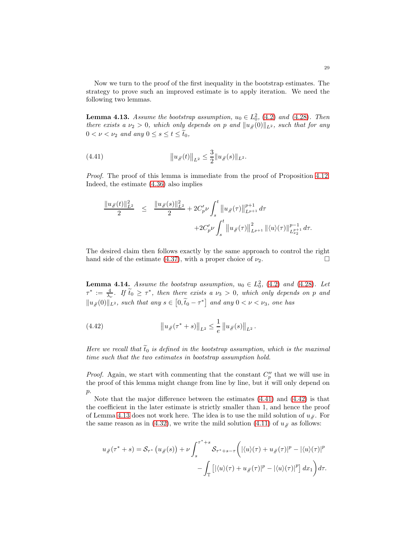Now we turn to the proof of the first inequality in the bootstrap estimates. The strategy to prove such an improved estimate is to apply iteration. We need the following two lemmas.

<span id="page-28-2"></span>**Lemma 4.13.** Assume the bootstrap assumption,  $u_0 \in L_0^2$ , [\(4.2\)](#page-16-8) and [\(4.28\)](#page-23-0). Then there exists a  $\nu_2 > 0$ , which only depends on p and  $||u_{\#}(0)||_{L^2}$ , such that for any  $0 < \nu < \nu_2$  and any  $0 \leq s \leq t \leq \tilde{t}_0$ ,

(4.41) 
$$
||u_{\#}(t)||_{L^2} \leq \frac{3}{2}||u_{\#}(s)||_{L^2}.
$$

Proof. The proof of this lemma is immediate from the proof of Proposition [4.12.](#page-25-3) Indeed, the estimate [\(4.36\)](#page-26-3) also implies

<span id="page-28-0"></span>
$$
\frac{\|u_{\mathcal{H}}(t)\|_{L^{2}}^{2}}{2} \leq \frac{\|u_{\mathcal{H}}(s)\|_{L^{2}}^{2}}{2} + 2C'_{p}\nu \int_{s}^{t} \|u_{\mathcal{H}}(\tau)\|_{L^{p+1}}^{p+1} d\tau + 2C'_{p}\nu \int_{s}^{t} \|u_{\mathcal{H}}(\tau)\|_{L^{p+1}}^{2} \|\langle u \rangle(\tau)\|_{L^{p+1}_{x}}^{p-1} d\tau.
$$

The desired claim then follows exactly by the same approach to control the right hand side of the estimate [\(4.37\)](#page-26-0), with a proper choice of  $\nu_2$ .

<span id="page-28-3"></span>**Lemma 4.14.** Assume the bootstrap assumption,  $u_0 \in L_0^2$ , [\(4.2\)](#page-16-8) and [\(4.28\)](#page-23-0). Let  $\tau^* := \frac{4}{\lambda_{\nu}}$ . If  $\tilde{t}_0 \geq \tau^*$ , then there exists a  $\nu_3 > 0$ , which only depends on p and  $||u_{\mathscr{H}}(0)||_{L^2}$ , such that any  $s \in [0, \tilde{t}_0 - \tau^*]$  and any  $0 < \nu < \nu_3$ , one has

<span id="page-28-1"></span>(4.42) 
$$
\|u_{\#}(\tau^*+s)\|_{L^2} \leq \frac{1}{e} \|u_{\#}(s)\|_{L^2}.
$$

Here we recall that  $\tilde{t}_0$  is defined in the bootstrap assumption, which is the maximal time such that the two estimates in bootstrap assumption hold.

*Proof.* Again, we start with commenting that the constant  $C_p''$  that we will use in the proof of this lemma might change from line by line, but it will only depend on p.

Note that the major difference between the estimates [\(4.41\)](#page-28-0) and [\(4.42\)](#page-28-1) is that the coefficient in the later estimate is strictly smaller than 1, and hence the proof of Lemma [4.13](#page-28-2) does not work here. The idea is to use the mild solution of  $u<sub>\mu</sub>$ . For the same reason as in [\(4.32\)](#page-25-0), we write the mild solution [\(4.11\)](#page-18-2) of  $u_{\ell}$  as follows:

$$
u_{\#}(\tau^* + s) = \mathcal{S}_{\tau^*} (u_{\#}(s)) + \nu \int_s^{\tau^* + s} \mathcal{S}_{\tau^* + s - \tau} \bigg( |\langle u \rangle(\tau) + u_{\#}(\tau)|^p - |\langle u \rangle(\tau)|^p \bigg) - \int_{\mathbb{T}} \big[ |\langle u \rangle(\tau) + u_{\#}(\tau)|^p - |\langle u \rangle(\tau)|^p \big] \, dx_1 \bigg) d\tau.
$$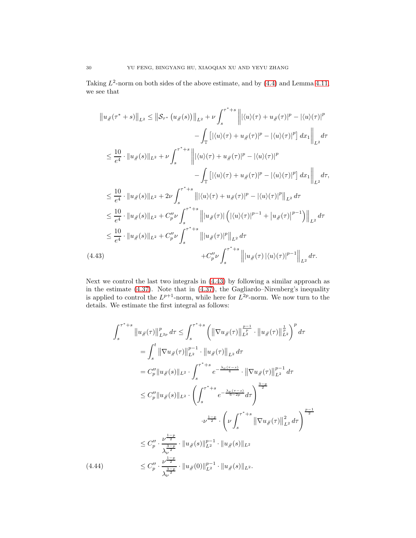Taking  $L^2$ -norm on both sides of the above estimate, and by  $(4.4)$  and Lemma [4.11,](#page-25-4) we see that

<span id="page-29-0"></span>
$$
||u_{\#}(\tau^* + s)||_{L^2} \le ||\mathcal{S}_{\tau^*} (u_{\#}(s))||_{L^2} + \nu \int_s^{\tau^* + s} |||u(\tau)| + u_{\#}(\tau)|^p - |\langle u \rangle(\tau)|^p
$$
  

$$
- \int_{\mathbb{T}} [|\langle u \rangle(\tau) + u_{\#}(\tau)|^p - |\langle u \rangle(\tau)|^p] dx_1 ||_{L^2} d\tau
$$
  

$$
\le \frac{10}{e^4} \cdot ||u_{\#}(s)||_{L^2} + \nu \int_s^{\tau^* + s} |||\langle u \rangle(\tau) + u_{\#}(\tau)|^p - |\langle u \rangle(\tau)|^p
$$
  

$$
- \int_{\mathbb{T}} [|\langle u \rangle(\tau) + u_{\#}(\tau)|^p - |\langle u \rangle(\tau)|^p] dx_1 ||_{L^2} d\tau,
$$
  

$$
\le \frac{10}{e^4} \cdot ||u_{\#}(s)||_{L^2} + 2\nu \int_s^{\tau^* + s} |||\langle u \rangle(\tau) + u_{\#}(\tau)|^p - |\langle u \rangle(\tau)|^p ||_{L^2} d\tau
$$
  

$$
\le \frac{10}{e^4} \cdot ||u_{\#}(s)||_{L^2} + C_p'' \nu \int_s^{\tau^* + s} |||u_{\#}(\tau)| (|\langle u \rangle(\tau)|^{p-1} + |u_{\#}(\tau)|^{p-1}) ||_{L^2} d\tau
$$
  

$$
\le \frac{10}{e^4} \cdot ||u_{\#}(s)||_{L^2} + C_p'' \nu \int_s^{\tau^* + s} |||u_{\#}(\tau)|^p ||_{L^2} d\tau
$$
  
(4.43)  

$$
+ C_p'' \nu \int_s^{\tau^* + s} |||u_{\#}(\tau)| \langle u \rangle(\tau)|^{p-1} ||_{L^2} d\tau.
$$

Next we control the last two integrals in [\(4.43\)](#page-29-0) by following a similar approach as in the estimate [\(4.37\)](#page-26-0). Note that in [\(4.37\)](#page-26-0), the Gagliardo–Nirenberg's inequality is applied to control the  $L^{p+1}$ -norm, while here for  $L^{2p}$ -norm. We now turn to the details. We estimate the first integral as follows:

<span id="page-29-1"></span>
$$
\int_{s}^{\tau^{*}+s} \|u_{\mathcal{J}}(\tau)\|_{L^{2p}}^{p} d\tau \leq \int_{s}^{\tau^{*}+s} \left( \|\nabla u_{\mathcal{J}}(\tau)\|_{L^{2}}^{\frac{p-1}{p}} \cdot \|u_{\mathcal{J}}(\tau)\|_{L^{2}}^{\frac{1}{p}} \right)^{p} d\tau
$$
\n
$$
= \int_{s}^{t} \|\nabla u_{\mathcal{J}}(\tau)\|_{L^{2}}^{p-1} \cdot \|u_{\mathcal{J}}(\tau)\|_{L^{2}} d\tau
$$
\n
$$
= C_{p}'' \|u_{\mathcal{J}}(s)\|_{L^{2}} \cdot \int_{s}^{\tau^{*}+s} e^{-\frac{\lambda_{\nu}(\tau-s)}{4}} \cdot \|\nabla u_{\mathcal{J}}(\tau)\|_{L^{2}}^{p-1} d\tau
$$
\n
$$
\leq C_{p}'' \|u_{\mathcal{J}}(s)\|_{L^{2}} \cdot \left( \int_{s}^{\tau^{*}+s} e^{-\frac{\lambda_{\nu}(\tau-s)}{6-2p}} d\tau \right)^{\frac{3-p}{2}}
$$
\n
$$
\cdot \nu^{\frac{1-p}{2}} \cdot \left( \nu \int_{s}^{\tau^{*}+s} \|\nabla u_{\mathcal{J}}(\tau)\|_{L^{2}}^{2} d\tau \right)^{\frac{p-1}{2}}
$$
\n
$$
\leq C_{p}'' \cdot \frac{\nu^{\frac{1-p}{2}}}{\lambda_{\nu}^{\frac{3-p}{2}}} \cdot \|u_{\mathcal{J}}(s)\|_{L^{2}}^{p-1} \cdot \|u_{\mathcal{J}}(s)\|_{L^{2}}
$$
\n(4.44)\n
$$
\leq C_{p}'' \cdot \frac{\nu^{\frac{1-p}{2}}}{\lambda_{\nu}^{\frac{3-p}{2}}} \cdot \|u_{\mathcal{J}}(0)\|_{L^{2}}^{p-1} \cdot \|u_{\mathcal{J}}(s)\|_{L^{2}}.
$$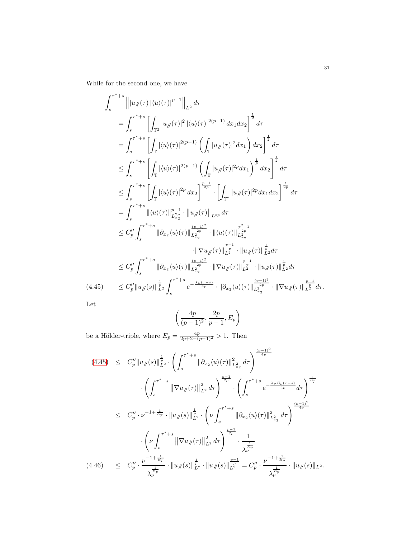While for the second one, we have

<span id="page-30-0"></span>
$$
\int_{s}^{\tau^{*}+s} \left\| |u_{\#}(\tau)|\langle u \rangle(\tau)|^{p-1} \right\|_{L^{2}} d\tau
$$
\n
$$
= \int_{s}^{\tau^{*}+s} \left[ \int_{\mathbb{T}^{2}} |u_{\#}(\tau)|^{2} |\langle u \rangle(\tau)|^{2(p-1)} dx_{1} dx_{2} \right]^{\frac{1}{2}} d\tau
$$
\n
$$
= \int_{s}^{\tau^{*}+s} \left[ \int_{\mathbb{T}} |\langle u \rangle(\tau)|^{2(p-1)} \left( \int_{\mathbb{T}} |u_{\#}(\tau)|^{2} dx_{1} \right) dx_{2} \right]^{\frac{1}{2}} d\tau
$$
\n
$$
\leq \int_{s}^{\tau^{*}+s} \left[ \int_{\mathbb{T}} |\langle u \rangle(\tau)|^{2(p-1)} \left( \int_{\mathbb{T}} |u_{\#}(\tau)|^{2p} dx_{1} \right)^{\frac{1}{p}} dx_{2} \right]^{\frac{1}{2}} d\tau
$$
\n
$$
\leq \int_{s}^{\tau^{*}+s} \left[ \int_{\mathbb{T}} |\langle u \rangle(\tau)|^{2p} dx_{2} \right]^{\frac{p-1}{2p}} \cdot \left[ \int_{\mathbb{T}^{2}} |u_{\#}(\tau)|^{2p} dx_{1} dx_{2} \right]^{\frac{1}{2p}} d\tau
$$
\n
$$
= \int_{s}^{\tau^{*}+s} \|\langle u \rangle(\tau)\|_{L^{2p}_{22}}^{p-1} \cdot \|\langle u \rangle(\tau)\|_{L^{2p}}^{1-p} d\tau
$$
\n
$$
\leq C_{p}'' \int_{s}^{\tau^{*}+s} \|\partial_{x_{2}}\langle u \rangle(\tau)\|_{L^{2p}_{22}}^{\frac{(p-1)^{2}}{2p}} \cdot \|\langle u \rangle(\tau)\|_{L^{2p}_{22}}^{\frac{p^{2}-1}{2p}} \cdot \|\langle u \rangle(\tau)\|_{L^{2}}^{\frac{p^{2}-1}{2p}} \cdot \|\langle u \rangle(\tau)\|_{L^{2}}^{\frac{1}{2p}} d\tau
$$
\n
$$
\leq C_{p}'' \int_{s}^{\tau^{*}+s} \|\partial_{x_{2}}\langle u \rangle(\tau)\|_{L^{2p}_{22}}^{\frac{(p-
$$

Let

$$
\left(\frac{4p}{(p-1)^2}, \frac{2p}{p-1}, E_p\right)
$$

be a Hölder-triple, where  $E_p = \frac{4p}{2p+2-(p-1)^2} > 1$ . Then

<span id="page-30-1"></span>
$$
(4.45) \leq C_p'' \|u_{\#}(s)\|_{L^2}^{\frac{1}{p}} \cdot \left( \int_s^{\tau^*+s} \|\partial_{x_2}\langle u\rangle(\tau)\|_{L^2}^2 d\tau \right)^{\frac{(p-1)^2}{4p}} \n\cdot \left( \int_s^{\tau^*+s} \|\nabla u_{\#}(\tau)\|_{L^2}^2 d\tau \right)^{\frac{p-1}{2p}} \cdot \left( \int_s^{\tau^*+s} e^{-\frac{\lambda_{\nu} E_p(\tau-s)}{4p}} d\tau \right)^{\frac{1}{E_p}} \n\leq C_p'' \cdot \nu^{-1+\frac{1}{E_p}} \cdot \|u_{\#}(s)\|_{L^2}^{\frac{1}{p}} \cdot \left( \nu \int_s^{\tau^*+s} \|\partial_{x_2}\langle u\rangle(\tau)\|_{L^2}^2 d\tau \right)^{\frac{(p-1)^2}{4p}} \n\cdot \left( \nu \int_s^{\tau^*+s} \|\nabla u_{\#}(\tau)\|_{L^2}^2 d\tau \right)^{\frac{p-1}{2p}} \cdot \frac{1}{\lambda_{\nu}^{\frac{1}{E_p}}} \n(4.46) \leq C_p'' \cdot \frac{\nu^{-1+\frac{1}{E_p}}}{\lambda_{\nu}^{\frac{1}{E_p}}} \cdot \|u_{\#}(s)\|_{L^2}^{\frac{1}{p}} \cdot \|u_{\#}(s)\|_{L^2}^{\frac{1}{p}} = C_p'' \cdot \frac{\nu^{-1+\frac{1}{E_p}}}{\lambda_{\nu}^{\frac{1}{E_p}}} \cdot \|u_{\#}(s)\|_{L^2}.
$$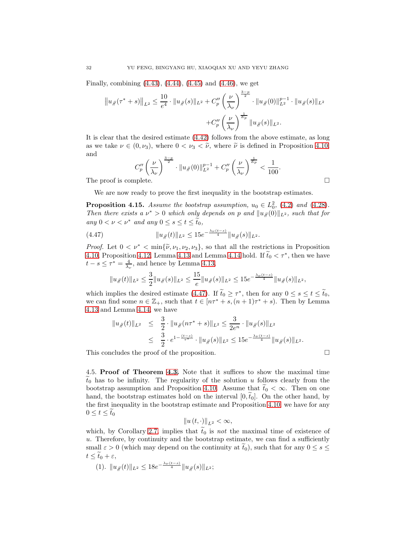Finally, combining [\(4.43\)](#page-29-0), [\(4.44\)](#page-29-1), [\(4.45\)](#page-30-0) and [\(4.46\)](#page-30-1), we get

$$
||u_{\#}(\tau^* + s)||_{L^2} \le \frac{10}{e^4} \cdot ||u_{\#}(s)||_{L^2} + C_p'' \left(\frac{\nu}{\lambda_{\nu}}\right)^{\frac{3-p}{2}} \cdot ||u_{\#}(0)||_{L^2}^{p-1} \cdot ||u_{\#}(s)||_{L^2} + C_p'' \left(\frac{\nu}{\lambda_{\nu}}\right)^{\frac{1}{E_p}} ||u_{\#}(s)||_{L^2}.
$$

It is clear that the desired estimate [\(4.42\)](#page-28-1) follows from the above estimate, as long as we take  $\nu \in (0, \nu_3)$ , where  $0 < \nu_3 < \tilde{\nu}$ , where  $\tilde{\nu}$  is defined in Proposition [4.10,](#page-23-4) and

$$
C_p''\left(\frac{\nu}{\lambda_{\nu}}\right)^{\frac{3-p}{2}} \cdot \|u_{\#}(0)\|_{L^2}^{p-1} + C_p''\left(\frac{\nu}{\lambda_{\nu}}\right)^{\frac{1}{E_p}} < \frac{1}{100}.
$$
\nThe proof is complete.

We are now ready to prove the first inequality in the bootstrap estimates.

**Proposition 4.15.** Assume the bootstrap assumption,  $u_0 \in L_0^2$ , [\(4.2\)](#page-16-8) and [\(4.28\)](#page-23-0). Then there exists a  $\nu^* > 0$  which only depends on p and  $||u_{\#}(0)||_{L^2}$ , such that for any  $0 < \nu < \nu^*$  and any  $0 \leq s \leq t \leq \tilde{t}_0$ ,

(4.47) 
$$
||u_{\#}(t)||_{L^{2}} \leq 15e^{-\frac{\lambda_{\nu}(t-s)}{4}}||u_{\#}(s)||_{L^{2}}.
$$

*Proof.* Let  $0 < \nu^* < \min{\{\tilde{\nu}, \nu_1, \nu_2, \nu_3\}}$ , so that all the restrictions in Proposition [4.10,](#page-23-4) Proposition [4.12,](#page-25-3) Lemma [4.13](#page-28-2) and Lemma [4.14](#page-28-3) hold. If  $\tilde{t}_0 < \tau^*$ , then we have  $t - s \leq \tau^* = \frac{4}{\lambda_{\nu}},$  and hence by Lemma [4.13,](#page-28-2)

<span id="page-31-1"></span>
$$
||u_{\mathcal{H}}(t)||_{L^{2}} \leq \frac{3}{2}||u_{\mathcal{H}}(s)||_{L^{2}} \leq \frac{15}{e}||u_{\mathcal{H}}(s)||_{L^{2}} \leq 15e^{-\frac{\lambda_{\nu}(t-s)}{4}}||u_{\mathcal{H}}(s)||_{L^{2}},
$$

which implies the desired estimate [\(4.47\)](#page-31-1). If  $\tilde{t}_0 \geq \tau^*$ , then for any  $0 \leq s \leq t \leq \tilde{t}_0$ , we can find some  $n \in \mathbb{Z}_+$ , such that  $t \in [n\tau^* + s, (n+1)\tau^* + s)$ . Then by Lemma [4.13](#page-28-2) and Lemma [4.14,](#page-28-3) we have

$$
||u_{\#}(t)||_{L^{2}} \leq \frac{3}{2} \cdot ||u_{\#}(n\tau^{*} + s)||_{L^{2}} \leq \frac{3}{2e^{n}} \cdot ||u_{\#}(s)||_{L^{2}}\leq \frac{3}{2} \cdot e^{1 - \frac{(t-s)}{\tau^{*}}} \cdot ||u_{\#}(s)||_{L^{2}} \leq 15e^{-\frac{\lambda_{\nu}(t-s)}{4}} ||u_{\#}(s)||_{L^{2}}.
$$

This concludes the proof of the proposition.

<span id="page-31-0"></span>4.5. Proof of Theorem [4.3.](#page-16-1) Note that it suffices to show the maximal time  $\tilde{t}_0$  has to be infinity. The regularity of the solution u follows clearly from the bootstrap assumption and Proposition [4.10.](#page-23-4) Assume that  $\tilde{t}_0 < \infty$ . Then on one hand, the bootstrap estimates hold on the interval  $[0, t_0]$ . On the other hand, by the first inequality in the bootstrap estimate and Proposition [4.10,](#page-23-4) we have for any  $0 \leq t \leq \tilde{t}_0$ 

$$
\left\|u\left(t,\cdot\right)\right\|_{L^{2}}<\infty,
$$

which, by Corollary [2.7,](#page-8-1) implies that  $\tilde{t}_0$  is not the maximal time of existence of u. Therefore, by continuity and the bootstrap estimate, we can find a sufficiently small  $\varepsilon > 0$  (which may depend on the continuity at  $\tilde{t}_0$ ), such that for any  $0 \leq s \leq$  $t \leq \widetilde{t}_0 + \varepsilon$ ,

(1).  $||u_{\#}(t)||_{L^2} \leq 18e^{-\frac{\lambda_{\nu}(t-s)}{4}}||u_{\#}(s)||_{L^2};$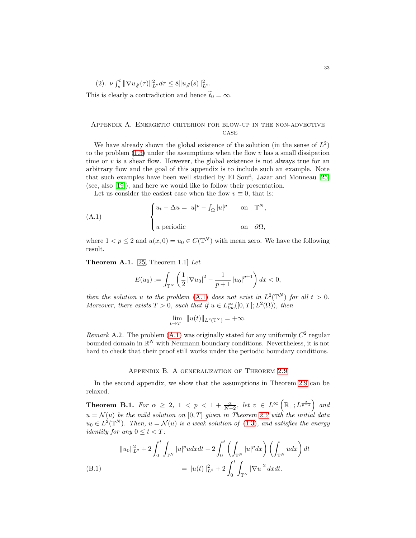(2). 
$$
\nu \int_s^t \|\nabla u_{\#}(\tau)\|_{L^2}^2 d\tau \le 8 \|u_{\#}(s)\|_{L^2}^2
$$
.  
This is clearly a contradiction and hence  $\tilde{t}_0 = \infty$ .

## <span id="page-32-0"></span>Appendix A. Energetic criterion for blow-up in the non-advective **CASE**

We have already shown the global existence of the solution (in the sense of  $L^2$ ) to the problem  $(1.3)$  under the assumptions when the flow v has a small dissipation time or  $v$  is a shear flow. However, the global existence is not always true for an arbitrary flow and the goal of this appendix is to include such an example. Note that such examples have been well studied by El Soufi, Jazar and Monneau [\[25\]](#page-35-5) (see, also [\[19\]](#page-34-19)), and here we would like to follow their presentation.

<span id="page-32-4"></span>Let us consider the easiest case when the flow  $v \equiv 0$ , that is:

(A.1) 
$$
\begin{cases} u_t - \Delta u = |u|^p - \int_{\Omega} |u|^p & \text{on } \mathbb{T}^N, \\ u \text{ periodic} & \text{on } \partial\Omega, \end{cases}
$$

where  $1 < p \le 2$  and  $u(x, 0) = u_0 \in C(\mathbb{T}^N)$  with mean zero. We have the following result.

<span id="page-32-2"></span>**Theorem A.1.** [\[25,](#page-35-5) Theorem 1.1] Let

$$
E(u_0) := \int_{\mathbb{T}^N} \left( \frac{1}{2} \left| \nabla u_0 \right|^2 - \frac{1}{p+1} \left| u_0 \right|^{p+1} \right) dx < 0,
$$

then the solution u to the problem [\(A.1\)](#page-32-4) does not exist in  $L^2(\mathbb{T}^N)$  for all  $t > 0$ . Moreover, there exists  $T > 0$ , such that if  $u \in L^{\infty}_{loc}([0, T]; L^{2}(\Omega))$ , then

$$
\lim_{t\to T^-} \|u(t)\|_{L^2(\mathbb{T}^N)}=+\infty.
$$

Remark A.2. The problem  $(A.1)$  was originally stated for any uniformly  $C^2$  regular bounded domain in  $\mathbb{R}^N$  with Neumann boundary conditions. Nevertheless, it is not hard to check that their proof still works under the periodic boundary conditions.

## Appendix B. A generalization of Theorem [2.9](#page-9-0)

<span id="page-32-1"></span>In the second appendix, we show that the assumptions in Theorem [2.9](#page-9-0) can be relaxed.

<span id="page-32-3"></span>**Theorem B.1.** For  $\alpha \geq 2$ ,  $1 \lt p \lt 1 + \frac{\alpha}{N+2}$ , let  $v \in L^{\infty}\left(\mathbb{R}_+; L^{\frac{\alpha}{p-1}}\right)$  and  $u = \mathcal{N}(u)$  be the mild solution on  $[0, T]$  given in Theorem [2.2](#page-4-2) with the initial data  $u_0 \in L^2(\mathbb{T}^N)$ . Then,  $u = \mathcal{N}(u)$  is a weak solution of [\(1.3\)](#page-2-2), and satisfies the energy *identity for any*  $0 \le t < T$ :

$$
||u_0||_{L^2}^2 + 2\int_0^t \int_{\mathbb{T}^N} |u|^p u dx dt - 2\int_0^t \left(\int_{\mathbb{T}^N} |u|^p dx\right) \left(\int_{\mathbb{T}^N} u dx\right) dt
$$
  
(B.1)  

$$
= ||u(t)||_{L^2}^2 + 2\int_0^t \int_{\mathbb{T}^N} |\nabla u|^2 dx dt.
$$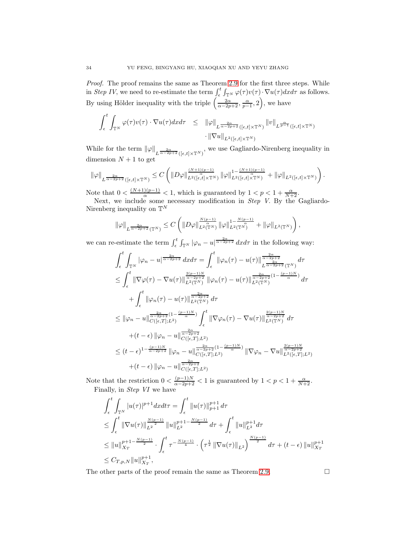Proof. The proof remains the same as Theorem [2.9](#page-9-0) for the first three steps. While in Step IV, we need to re-estimate the term  $\int_{\epsilon}^{t} \int_{\mathbb{T}^{N}} \varphi(\tau) v(\tau) \cdot \nabla u(\tau) dxd\tau$  as follows. By using Hölder inequality with the triple  $\left(\frac{2\alpha}{\alpha-2p+2}, \frac{\alpha}{p-1}, 2\right)$ , we have

$$
\int_{\epsilon}^{t} \int_{\mathbb{T}^{N}} \varphi(\tau) v(\tau) \cdot \nabla u(\tau) dx d\tau \leq \|\varphi\|_{L^{\frac{2\alpha}{\alpha-2p+2}}([\epsilon,t] \times \mathbb{T}^{N})} \|v\|_{L^{\frac{\alpha}{p-1}}([\epsilon,t] \times \mathbb{T}^{N})} \cdot \|\nabla u\|_{L^{2}([\epsilon,t] \times \mathbb{T}^{N})}
$$

While for the term  $\|\varphi\|_{L^{\frac{2\alpha}{\alpha-2p+2}}([\epsilon,t]\times\mathbb{T}^N)}$ , we use Gagliardo-Nirenberg inequality in dimension  $N+1$  to get

$$
\|\varphi\|_{L^{\frac{2\alpha}{\alpha-2p+2}}([\epsilon,t]\times\mathbb{T}^N)}\leq C\left(\|D\varphi\|_{L^2([\epsilon,t]\times\mathbb{T}^N)}^{\frac{(N+1)(p-1)}{\alpha}}\|\varphi\|_{L^2([\epsilon,t]\times\mathbb{T}^N)}^{1-\frac{(N+1)(p-1)}{\alpha}}+\|\varphi\|_{L^2([\epsilon,t]\times\mathbb{T}^N)}\right).
$$

Note that  $0 < \frac{(N+1)(p-1)}{\alpha} < 1$ , which is guaranteed by  $1 < p < 1 + \frac{\alpha}{N+2}$ .

Next, we include some necessary modification in *Step V*. By the Gagliardo-Nirenberg inequality on  $\mathbb{T}^N$ 

$$
\|\varphi\|_{L^{\frac{2\alpha}{\alpha-2p+2}}(\mathbb{T}^N)} \leq C \left( \|D\varphi\|_{L^2(\mathbb{T}^N)}^{\frac{N(p-1)}{\alpha}} \|\varphi\|_{L^2(\mathbb{T}^N)}^{1-\frac{N(p-1)}{\alpha}} + \|\varphi\|_{L^2(\mathbb{T}^N)} \right),
$$

we can re-estimate the term  $\int_{\epsilon}^{t} \int_{\mathbb{T}^{N}} |\varphi_n - u|^{\frac{2\alpha}{\alpha - 2p + 2}} dx d\tau$  in the following way:

$$
\int_{\epsilon}^{t} \int_{\mathbb{T}^{N}} |\varphi_{n} - u|^{\frac{2\alpha}{\alpha - 2p + 2}} dx d\tau = \int_{\epsilon}^{t} ||\varphi_{n}(\tau) - u(\tau)||_{L^{\frac{2\alpha}{\alpha - 2p + 2}}(\mathbb{T}^{N})}^{\frac{2\alpha}{\alpha - 2p + 2}} d\tau
$$
\n
$$
\leq \int_{\epsilon}^{t} ||\nabla \varphi(\tau) - \nabla u(\tau)||_{L^{2}(\mathbb{T}^{N})}^{\frac{2(\rho - 1)N}{\alpha - 2p + 2}} ||\varphi_{n}(\tau) - u(\tau)||_{L^{2}(\mathbb{T}^{N})}^{\frac{2\alpha}{\alpha - 2p + 2}(1 - \frac{(p - 1)N}{\alpha})} d\tau
$$
\n
$$
+ \int_{\epsilon}^{t} ||\varphi_{n}(\tau) - u(\tau)||_{L^{2}(\mathbb{T}^{N})}^{\frac{2\alpha}{\alpha - 2p + 2}} d\tau
$$
\n
$$
\leq ||\varphi_{n} - u||_{C([\epsilon, T]; L^{2})}^{\frac{2\alpha}{\alpha - 2p + 2}} \int_{\epsilon}^{t} ||\nabla \varphi_{n}(\tau) - \nabla u(\tau)||_{L^{2}(\mathbb{T}^{N})}^{\frac{2(p - 1)N}{\alpha - 2p + 2}} d\tau
$$
\n
$$
+ (t - \epsilon) ||\varphi_{n} - u||_{C([\epsilon, T]; L^{2})}^{\frac{2\alpha}{\alpha - 2p + 2}} \leq (t - \epsilon)^{1 - \frac{(p - 1)N}{\alpha - 2p + 2}} ||\varphi_{n} - u||_{C([\epsilon, T]; L^{2})}^{\frac{2\alpha}{\alpha - 2p + 2}} ||\nabla \varphi_{n} - \nabla u||_{L^{2}([\epsilon, T]; L^{2})}^{\frac{2(p - 1)N}{\alpha - 2p + 2}} + (t - \epsilon) ||\varphi_{n} - u||_{C([\epsilon, T]; L^{2})}^{\frac{2\alpha}{\alpha - 2p + 2}}.
$$

Note that the restriction  $0 < \frac{(p-1)N}{\alpha - 2p+2} < 1$  is guaranteed by  $1 < p < 1 + \frac{\alpha}{N+2}$ . Finally, in Step VI we have

$$
\int_{\epsilon}^{t} \int_{\mathbb{T}^{N}} |u(\tau)|^{p+1} dx dt \tau = \int_{\epsilon}^{t} \|u(\tau)\|_{p+1}^{p+1} d\tau
$$
\n
$$
\leq \int_{\epsilon}^{t} \|\nabla u(\tau)\|_{L^{2}}^{\frac{N(p-1)}{2}} \|u\|_{L^{2}}^{p+1-\frac{N(p-1)}{2}} d\tau + \int_{\epsilon}^{t} \|u\|_{L^{2}}^{p+1} d\tau
$$
\n
$$
\leq \|u\|_{X_{T}}^{p+1-\frac{N(p-1)}{2}} \cdot \int_{\epsilon}^{t} \tau^{-\frac{N(p-1)}{4}} \cdot \left(\tau^{\frac{1}{2}} \|\nabla u(\tau)\|_{L^{2}}\right)^{\frac{N(p-1)}{2}} d\tau + (t-\epsilon) \|u\|_{X_{T}}^{p+1}
$$
\n
$$
\leq C_{T,p,N} \|u\|_{X_{T}}^{p+1},
$$

The other parts of the proof remain the same as Theorem [2.9.](#page-9-0)  $\Box$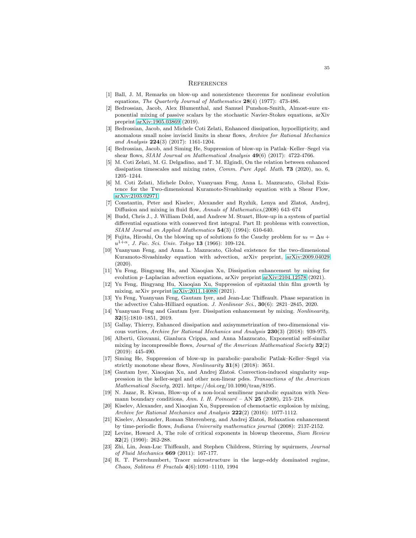#### <span id="page-34-0"></span>**REFERENCES**

- [1] Ball, J. M, Remarks on blow-up and nonexistence theorems for nonlinear evolution equations, The Quarterly Journal of Mathematics  $28(4)$  (1977): 473-486.
- <span id="page-34-7"></span>[2] Bedrossian, Jacob, Alex Blumenthal, and Samuel Punshon-Smith, Almost-sure exponential mixing of passive scalars by the stochastic Navier-Stokes equations, arXiv preprint [arXiv:1905.03869](http://arxiv.org/abs/1905.03869) (2019).
- <span id="page-34-13"></span>[3] Bedrossian, Jacob, and Michele Coti Zelati, Enhanced dissipation, hypoellipticity, and anomalous small noise inviscid limits in shear flows, Archive for Rational Mechanics and Analysis 224(3) (2017): 1161-1204.
- <span id="page-34-14"></span><span id="page-34-4"></span>[4] Bedrossian, Jacob, and Siming He, Suppression of blow-up in Patlak–Keller–Segel via shear flows,  $SIAM$  Journal on Mathematical Analysis  $49(6)$  (2017): 4722-4766.
- [5] M. Coti Zelati, M. G. Delgadino, and T. M. Elgindi, On the relation between enhanced dissipation timescales and mixing rates, *Comm. Pure Appl. Math.* **73** (2020), no. 6, 1205–1244.
- <span id="page-34-16"></span>[6] M. Coti Zelati, Michele Dolce, Yuanyuan Feng, Anna L. Mazzucato, Global Existence for the Two-dimensional Kuramoto-Sivashinsky equation with a Shear Flow, [arXiv:2103.02971.](http://arxiv.org/abs/2103.02971)
- <span id="page-34-1"></span>[7] Constantin, Peter and Kiselev, Alexander and Ryzhik, Lenya and Zlatoš, Andrej, Diffusion and mixing in fluid flow, Annals of Mathematics,(2008) 643-674
- <span id="page-34-20"></span>[8] Budd, Chris J., J. William Dold, and Andrew M. Stuart, Blow-up in a system of partial differential equations with conserved first integral. Part II: problems with convection, SIAM Journal on Applied Mathematics 54(3) (1994): 610-640.
- <span id="page-34-17"></span>Fujita, Hiroshi, On the blowing up of solutions fo the Cauchy problem for  $u_t = \Delta u +$  $u^{1+\alpha}$ , J. Fac. Sci. Univ. Tokyo 13 (1966): 109-124.
- <span id="page-34-11"></span>[10] Yuanyuan Feng, and Anna L. Mazzucato, Global existence for the two-dimensional Kuramoto-Sivashinsky equation with advection, arXiv preprint, [arXiv:2009.04029](http://arxiv.org/abs/2009.04029)  $(2020)$
- <span id="page-34-5"></span>[11] Yu Feng, Bingyang Hu, and Xiaoqian Xu, Dissipation enhancement by mixing for evolution p–Laplacian advection equations, arXiv preprint [arXiv:2104.12578](http://arxiv.org/abs/2104.12578) (2021).
- <span id="page-34-12"></span>[12] Yu Feng, Bingyang Hu, Xiaoqian Xu, Suppression of epitaxial thin film growth by mixing, arXiv preprint [arXiv:2011.14088](http://arxiv.org/abs/2011.14088) (2021).
- <span id="page-34-10"></span>[13] Yu Feng, Yuanyuan Feng, Gautam Iyer, and Jean-Luc Thiffeault. Phase separation in the advective Cahn-Hilliard equation. J. Nonlinear Sci.,  $30(6)$ : 2821–2845, 2020.
- <span id="page-34-3"></span>[14] Yuanyuan Feng and Gautam Iyer. Dissipation enhancement by mixing. Nonlinearity, 32(5):1810–1851, 2019.
- [15] Gallay, Thierry, Enhanced dissipation and axisymmetrization of two-dimensional viscous vortices, Archive for Rational Mechanics and Analysis 230(3) (2018): 939-975.
- [16] Alberti, Giovanni, Gianluca Crippa, and Anna Mazzucato, Exponential self-similar mixing by incompressible flows, *Journal of the American Mathematical Society*  $32(2)$ (2019): 445-490.
- <span id="page-34-15"></span>[17] Siming He, Suppression of blow-up in parabolic–parabolic Patlak–Keller–Segel via strictly monotone shear flows, Nonlinearity  $31(8)$  (2018): 3651.
- <span id="page-34-9"></span>[18] Gautam Iyer, Xiaoqian Xu, and Andrej Zlatoš. Convection-induced singularity suppression in the keller-segel and other non-linear pdes. Transactions of the American Mathematical Society, 2021. https://doi.org/10.1090/tran/8195.
- <span id="page-34-19"></span>[19] N. Jazar, R. Kiwan, Blow-up of a non-local semilinear parabolic equaiton with Neumann boundary conditions, Ann. I. H. Poincaré – AN  $25$  (2008), 215–218.
- <span id="page-34-8"></span>[20] Kiselev, Alexander, and Xiaoqian Xu, Suppression of chemotactic explosion by mixing, Archive for Rational Mechanics and Analysis  $222(2)$  (2016): 1077-1112.
- [21] Kiselev, Alexander, Roman Shterenberg, and Andrej Zlatoš, Relaxation enhancement by time-periodic flows, Indiana University mathematics journal (2008): 2137-2152.
- <span id="page-34-18"></span>[22] Levine, Howard A, The role of critical exponents in blowup theorems, Siam Review 32(2) (1990): 262-288.
- <span id="page-34-2"></span>[23] Zhi, Lin, Jean-Luc Thiffeault, and Stephen Childress, Stirring by squirmers, Journal of Fluid Mechanics 669 (2011): 167-177.
- <span id="page-34-6"></span>[24] R. T. Pierrehumbert, Tracer microstructure in the large-eddy dominated regime, Chaos, Solitons & Fractals 4(6):1091–1110, 1994